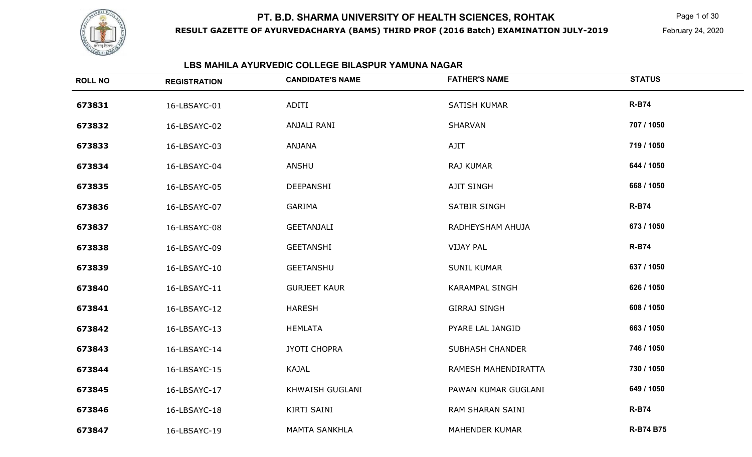

**RESULT GAZETTE OF AYURVEDACHARYA (BAMS) THIRD PROF (2016 Batch) EXAMINATION JULY-2019**

Page 1 of 30

February 24, 2020

# **LBS MAHILA AYURVEDIC COLLEGE BILASPUR YAMUNA NAGAR**

| <b>ROLL NO</b> | <b>REGISTRATION</b> | <b>CANDIDATE'S NAME</b> | <b>FATHER'S NAME</b>   | <b>STATUS</b>    |
|----------------|---------------------|-------------------------|------------------------|------------------|
| 673831         | 16-LBSAYC-01        | ADITI                   | <b>SATISH KUMAR</b>    | <b>R-B74</b>     |
| 673832         | 16-LBSAYC-02        | ANJALI RANI             | SHARVAN                | 707 / 1050       |
| 673833         | 16-LBSAYC-03        | ANJANA                  | AJIT                   | 719 / 1050       |
| 673834         | 16-LBSAYC-04        | ANSHU                   | RAJ KUMAR              | 644 / 1050       |
| 673835         | 16-LBSAYC-05        | DEEPANSHI               | AJIT SINGH             | 668 / 1050       |
| 673836         | 16-LBSAYC-07        | <b>GARIMA</b>           | <b>SATBIR SINGH</b>    | <b>R-B74</b>     |
| 673837         | 16-LBSAYC-08        | <b>GEETANJALI</b>       | RADHEYSHAM AHUJA       | 673 / 1050       |
| 673838         | 16-LBSAYC-09        | <b>GEETANSHI</b>        | <b>VIJAY PAL</b>       | <b>R-B74</b>     |
| 673839         | 16-LBSAYC-10        | <b>GEETANSHU</b>        | <b>SUNIL KUMAR</b>     | 637 / 1050       |
| 673840         | 16-LBSAYC-11        | <b>GURJEET KAUR</b>     | <b>KARAMPAL SINGH</b>  | 626 / 1050       |
| 673841         | 16-LBSAYC-12        | <b>HARESH</b>           | <b>GIRRAJ SINGH</b>    | 608 / 1050       |
| 673842         | 16-LBSAYC-13        | <b>HEMLATA</b>          | PYARE LAL JANGID       | 663 / 1050       |
| 673843         | 16-LBSAYC-14        | <b>JYOTI CHOPRA</b>     | <b>SUBHASH CHANDER</b> | 746 / 1050       |
| 673844         | 16-LBSAYC-15        | <b>KAJAL</b>            | RAMESH MAHENDIRATTA    | 730 / 1050       |
| 673845         | 16-LBSAYC-17        | KHWAISH GUGLANI         | PAWAN KUMAR GUGLANI    | 649 / 1050       |
| 673846         | 16-LBSAYC-18        | KIRTI SAINI             | RAM SHARAN SAINI       | <b>R-B74</b>     |
| 673847         | 16-LBSAYC-19        | <b>MAMTA SANKHLA</b>    | <b>MAHENDER KUMAR</b>  | <b>R-B74 B75</b> |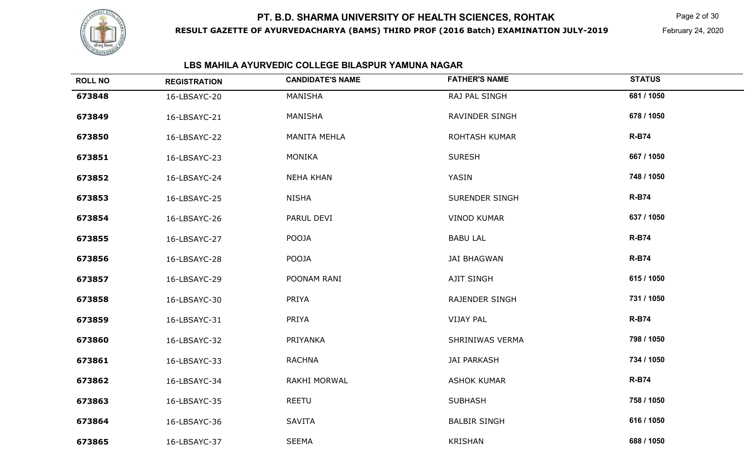

**RESULT GAZETTE OF AYURVEDACHARYA (BAMS) THIRD PROF (2016 Batch) EXAMINATION JULY-2019**

Page 2 of 30

February 24, 2020

## **LBS MAHILA AYURVEDIC COLLEGE BILASPUR YAMUNA NAGAR**

| <b>ROLL NO</b> | <b>REGISTRATION</b> | <b>CANDIDATE'S NAME</b> | <b>FATHER'S NAME</b>  | <b>STATUS</b> |
|----------------|---------------------|-------------------------|-----------------------|---------------|
| 673848         | 16-LBSAYC-20        | MANISHA                 | RAJ PAL SINGH         | 681 / 1050    |
| 673849         | 16-LBSAYC-21        | MANISHA                 | RAVINDER SINGH        | 678 / 1050    |
| 673850         | 16-LBSAYC-22        | <b>MANITA MEHLA</b>     | <b>ROHTASH KUMAR</b>  | <b>R-B74</b>  |
| 673851         | 16-LBSAYC-23        | <b>MONIKA</b>           | <b>SURESH</b>         | 667 / 1050    |
| 673852         | 16-LBSAYC-24        | <b>NEHA KHAN</b>        | YASIN                 | 748 / 1050    |
| 673853         | 16-LBSAYC-25        | <b>NISHA</b>            | <b>SURENDER SINGH</b> | <b>R-B74</b>  |
| 673854         | 16-LBSAYC-26        | PARUL DEVI              | <b>VINOD KUMAR</b>    | 637 / 1050    |
| 673855         | 16-LBSAYC-27        | POOJA                   | <b>BABU LAL</b>       | <b>R-B74</b>  |
| 673856         | 16-LBSAYC-28        | POOJA                   | <b>JAI BHAGWAN</b>    | <b>R-B74</b>  |
| 673857         | 16-LBSAYC-29        | POONAM RANI             | AJIT SINGH            | 615 / 1050    |
| 673858         | 16-LBSAYC-30        | PRIYA                   | <b>RAJENDER SINGH</b> | 731 / 1050    |
| 673859         | 16-LBSAYC-31        | PRIYA                   | <b>VIJAY PAL</b>      | <b>R-B74</b>  |
| 673860         | 16-LBSAYC-32        | PRIYANKA                | SHRINIWAS VERMA       | 798 / 1050    |
| 673861         | 16-LBSAYC-33        | <b>RACHNA</b>           | <b>JAI PARKASH</b>    | 734 / 1050    |
| 673862         | 16-LBSAYC-34        | RAKHI MORWAL            | <b>ASHOK KUMAR</b>    | <b>R-B74</b>  |
| 673863         | 16-LBSAYC-35        | <b>REETU</b>            | <b>SUBHASH</b>        | 758 / 1050    |
| 673864         | 16-LBSAYC-36        | <b>SAVITA</b>           | <b>BALBIR SINGH</b>   | 616 / 1050    |
| 673865         | 16-LBSAYC-37        | <b>SEEMA</b>            | <b>KRISHAN</b>        | 688 / 1050    |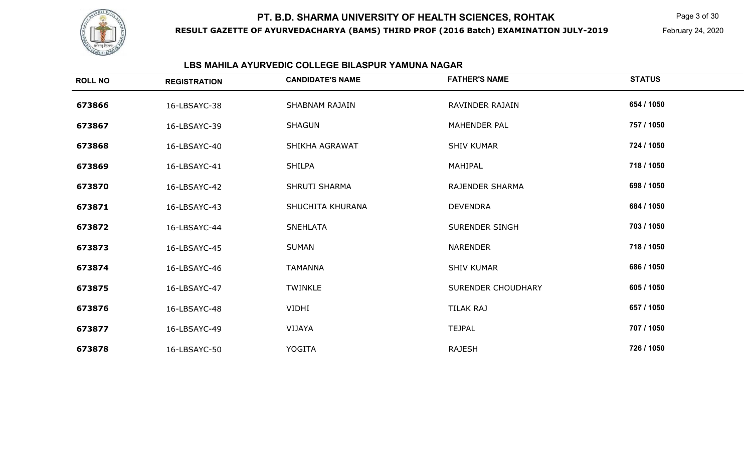

**RESULT GAZETTE OF AYURVEDACHARYA (BAMS) THIRD PROF (2016 Batch) EXAMINATION JULY-2019**

Page 3 of 30

February 24, 2020

## **LBS MAHILA AYURVEDIC COLLEGE BILASPUR YAMUNA NAGAR**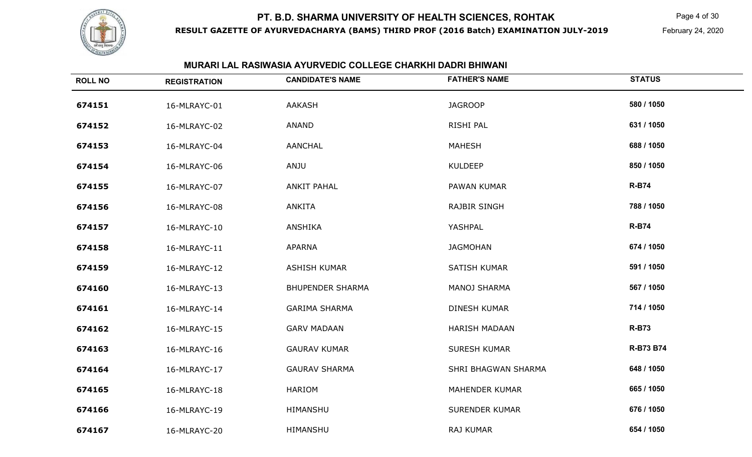

**RESULT GAZETTE OF AYURVEDACHARYA (BAMS) THIRD PROF (2016 Batch) EXAMINATION JULY-2019**

Page 4 of 30

February 24, 2020

| <b>ROLL NO</b> | <b>REGISTRATION</b> | <b>CANDIDATE'S NAME</b> | <b>FATHER'S NAME</b>  | <b>STATUS</b> |
|----------------|---------------------|-------------------------|-----------------------|---------------|
| 674151         | 16-MLRAYC-01        | <b>AAKASH</b>           | <b>JAGROOP</b>        | 580 / 1050    |
| 674152         | 16-MLRAYC-02        | ANAND                   | RISHI PAL             | 631 / 1050    |
| 674153         | 16-MLRAYC-04        | <b>AANCHAL</b>          | <b>MAHESH</b>         | 688 / 1050    |
| 674154         | 16-MLRAYC-06        | ANJU                    | <b>KULDEEP</b>        | 850 / 1050    |
| 674155         | 16-MLRAYC-07        | <b>ANKIT PAHAL</b>      | PAWAN KUMAR           | <b>R-B74</b>  |
| 674156         | 16-MLRAYC-08        | <b>ANKITA</b>           | <b>RAJBIR SINGH</b>   | 788 / 1050    |
| 674157         | 16-MLRAYC-10        | ANSHIKA                 | YASHPAL               | <b>R-B74</b>  |
| 674158         | 16-MLRAYC-11        | <b>APARNA</b>           | <b>JAGMOHAN</b>       | 674 / 1050    |
| 674159         | 16-MLRAYC-12        | <b>ASHISH KUMAR</b>     | SATISH KUMAR          | 591 / 1050    |
| 674160         | 16-MLRAYC-13        | <b>BHUPENDER SHARMA</b> | <b>MANOJ SHARMA</b>   | 567 / 1050    |
| 674161         | 16-MLRAYC-14        | <b>GARIMA SHARMA</b>    | <b>DINESH KUMAR</b>   | 714 / 1050    |
| 674162         | 16-MLRAYC-15        | <b>GARV MADAAN</b>      | <b>HARISH MADAAN</b>  | <b>R-B73</b>  |
| 674163         | 16-MLRAYC-16        | <b>GAURAV KUMAR</b>     | <b>SURESH KUMAR</b>   | R-B73 B74     |
| 674164         | 16-MLRAYC-17        | <b>GAURAV SHARMA</b>    | SHRI BHAGWAN SHARMA   | 648 / 1050    |
| 674165         | 16-MLRAYC-18        | <b>HARIOM</b>           | <b>MAHENDER KUMAR</b> | 665 / 1050    |
| 674166         | 16-MLRAYC-19        | HIMANSHU                | <b>SURENDER KUMAR</b> | 676 / 1050    |
| 674167         | 16-MLRAYC-20        | HIMANSHU                | RAJ KUMAR             | 654 / 1050    |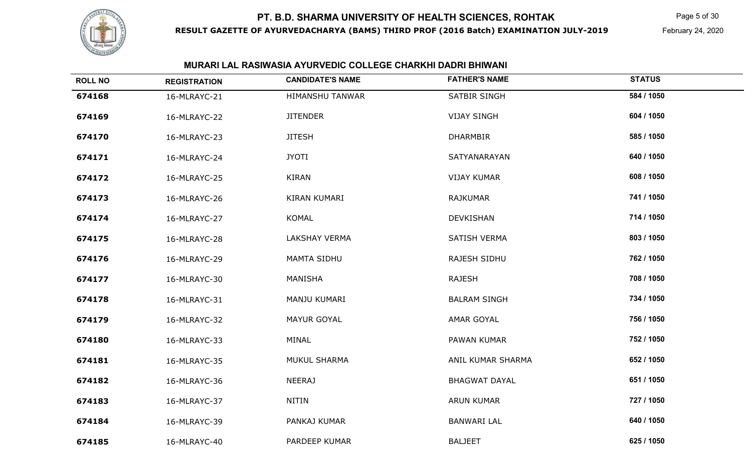

**RESULT GAZETTE OF AYURVEDACHARYA (BAMS) THIRD PROF (2016 Batch) EXAMINATION JULY-2019**

Page 5 of 30

February 24, 2020

| <b>ROLL NO</b> | <b>REGISTRATION</b> | <b>CANDIDATE'S NAME</b> | <b>FATHER'S NAME</b> | <b>STATUS</b> |
|----------------|---------------------|-------------------------|----------------------|---------------|
| 674168         | 16-MLRAYC-21        | <b>HIMANSHU TANWAR</b>  | SATBIR SINGH         | 584 / 1050    |
| 674169         | 16-MLRAYC-22        | <b>JITENDER</b>         | <b>VIJAY SINGH</b>   | 604 / 1050    |
| 674170         | 16-MLRAYC-23        | <b>JITESH</b>           | <b>DHARMBIR</b>      | 585 / 1050    |
| 674171         | 16-MLRAYC-24        | <b>JYOTI</b>            | SATYANARAYAN         | 640 / 1050    |
| 674172         | 16-MLRAYC-25        | <b>KIRAN</b>            | <b>VIJAY KUMAR</b>   | 608 / 1050    |
| 674173         | 16-MLRAYC-26        | KIRAN KUMARI            | RAJKUMAR             | 741 / 1050    |
| 674174         | 16-MLRAYC-27        | <b>KOMAL</b>            | <b>DEVKISHAN</b>     | 714 / 1050    |
| 674175         | 16-MLRAYC-28        | <b>LAKSHAY VERMA</b>    | <b>SATISH VERMA</b>  | 803 / 1050    |
| 674176         | 16-MLRAYC-29        | <b>MAMTA SIDHU</b>      | RAJESH SIDHU         | 762 / 1050    |
| 674177         | 16-MLRAYC-30        | MANISHA                 | <b>RAJESH</b>        | 708 / 1050    |
| 674178         | 16-MLRAYC-31        | MANJU KUMARI            | <b>BALRAM SINGH</b>  | 734 / 1050    |
| 674179         | 16-MLRAYC-32        | <b>MAYUR GOYAL</b>      | <b>AMAR GOYAL</b>    | 756 / 1050    |
| 674180         | 16-MLRAYC-33        | MINAL                   | PAWAN KUMAR          | 752 / 1050    |
| 674181         | 16-MLRAYC-35        | <b>MUKUL SHARMA</b>     | ANIL KUMAR SHARMA    | 652 / 1050    |
| 674182         | 16-MLRAYC-36        | <b>NEERAJ</b>           | <b>BHAGWAT DAYAL</b> | 651 / 1050    |
| 674183         | 16-MLRAYC-37        | NITIN                   | <b>ARUN KUMAR</b>    | 727 / 1050    |
| 674184         | 16-MLRAYC-39        | PANKAJ KUMAR            | <b>BANWARI LAL</b>   | 640 / 1050    |
| 674185         | 16-MLRAYC-40        | PARDEEP KUMAR           | <b>BALJEET</b>       | 625 / 1050    |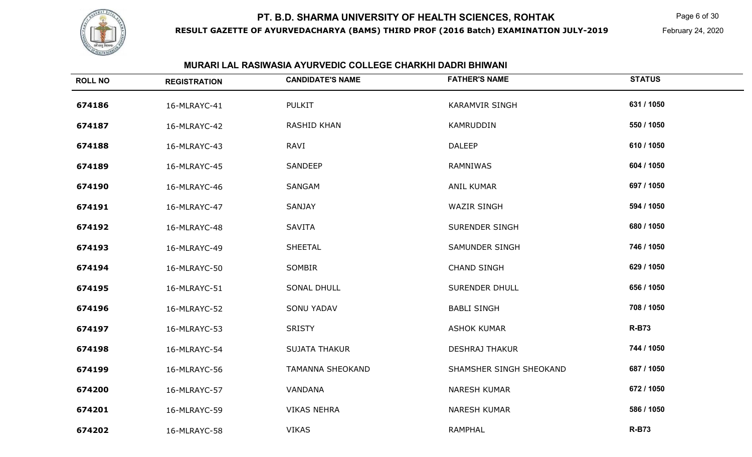

**RESULT GAZETTE OF AYURVEDACHARYA (BAMS) THIRD PROF (2016 Batch) EXAMINATION JULY-2019**

Page 6 of 30

February 24, 2020

| <b>ROLL NO</b> | <b>REGISTRATION</b> | <b>CANDIDATE'S NAME</b> | <b>FATHER'S NAME</b>    | <b>STATUS</b> |
|----------------|---------------------|-------------------------|-------------------------|---------------|
| 674186         | 16-MLRAYC-41        | <b>PULKIT</b>           | <b>KARAMVIR SINGH</b>   | 631 / 1050    |
| 674187         | 16-MLRAYC-42        | <b>RASHID KHAN</b>      | KAMRUDDIN               | 550 / 1050    |
| 674188         | 16-MLRAYC-43        | RAVI                    | <b>DALEEP</b>           | 610 / 1050    |
| 674189         | 16-MLRAYC-45        | SANDEEP                 | RAMNIWAS                | 604 / 1050    |
| 674190         | 16-MLRAYC-46        | SANGAM                  | ANIL KUMAR              | 697 / 1050    |
| 674191         | 16-MLRAYC-47        | SANJAY                  | <b>WAZIR SINGH</b>      | 594 / 1050    |
| 674192         | 16-MLRAYC-48        | <b>SAVITA</b>           | <b>SURENDER SINGH</b>   | 680 / 1050    |
| 674193         | 16-MLRAYC-49        | SHEETAL                 | SAMUNDER SINGH          | 746 / 1050    |
| 674194         | 16-MLRAYC-50        | SOMBIR                  | <b>CHAND SINGH</b>      | 629 / 1050    |
| 674195         | 16-MLRAYC-51        | <b>SONAL DHULL</b>      | <b>SURENDER DHULL</b>   | 656 / 1050    |
| 674196         | 16-MLRAYC-52        | <b>SONU YADAV</b>       | <b>BABLI SINGH</b>      | 708 / 1050    |
| 674197         | 16-MLRAYC-53        | <b>SRISTY</b>           | <b>ASHOK KUMAR</b>      | <b>R-B73</b>  |
| 674198         | 16-MLRAYC-54        | <b>SUJATA THAKUR</b>    | <b>DESHRAJ THAKUR</b>   | 744 / 1050    |
| 674199         | 16-MLRAYC-56        | <b>TAMANNA SHEOKAND</b> | SHAMSHER SINGH SHEOKAND | 687 / 1050    |
| 674200         | 16-MLRAYC-57        | VANDANA                 | <b>NARESH KUMAR</b>     | 672 / 1050    |
| 674201         | 16-MLRAYC-59        | <b>VIKAS NEHRA</b>      | <b>NARESH KUMAR</b>     | 586 / 1050    |
| 674202         | 16-MLRAYC-58        | <b>VIKAS</b>            | <b>RAMPHAL</b>          | <b>R-B73</b>  |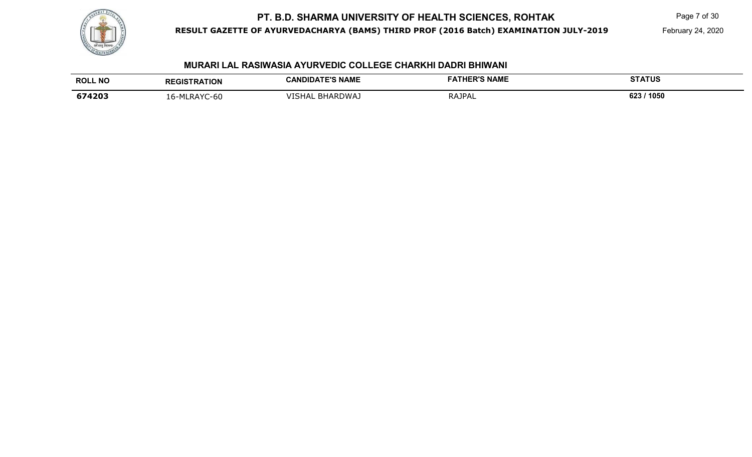

#### **RESULT GAZETTE OF AYURVEDACHARYA (BAMS) THIRD PROF (2016 Batch) EXAMINATION JULY-2019**

Page 7 of 30

February 24, 2020

| <b>ROLL NO</b> | <b>REGISTRATION</b>                   | <b>CANDIDATE'S NAME</b> | FATHER'S NAME | <b>STATUS</b> |
|----------------|---------------------------------------|-------------------------|---------------|---------------|
|                |                                       |                         |               |               |
| 674203         | -MLRAYC-<br>-60:<br><u> - 1</u><br>∸∸ | BHARDWAJ<br>/ISHAL      | RAJPAL        | 623 / 1050    |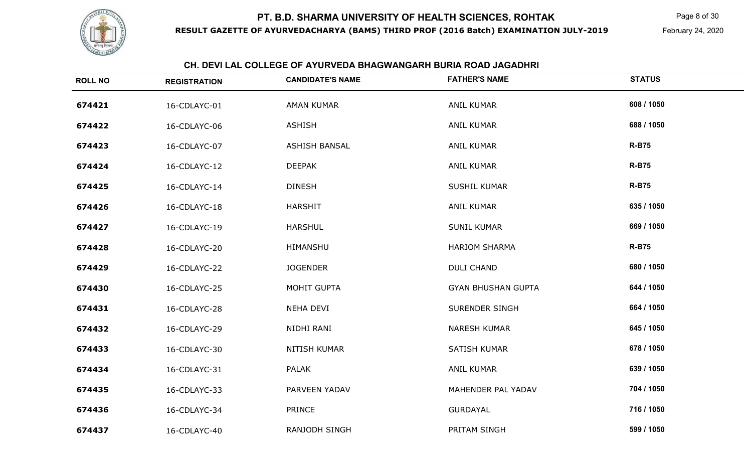

#### **RESULT GAZETTE OF AYURVEDACHARYA (BAMS) THIRD PROF (2016 Batch) EXAMINATION JULY-2019**

Page 8 of 30

February 24, 2020

|                | <u>UN. DEVI LAL UULLEUE UF ATURVEDA BHAUWANUARH BURIA RUAD JAUADHRI</u> |                         |                           |               |  |
|----------------|-------------------------------------------------------------------------|-------------------------|---------------------------|---------------|--|
| <b>ROLL NO</b> | <b>REGISTRATION</b>                                                     | <b>CANDIDATE'S NAME</b> | <b>FATHER'S NAME</b>      | <b>STATUS</b> |  |
| 674421         | 16-CDLAYC-01                                                            | <b>AMAN KUMAR</b>       | <b>ANIL KUMAR</b>         | 608 / 1050    |  |
| 674422         | 16-CDLAYC-06                                                            | <b>ASHISH</b>           | <b>ANIL KUMAR</b>         | 688 / 1050    |  |
| 674423         | 16-CDLAYC-07                                                            | <b>ASHISH BANSAL</b>    | <b>ANIL KUMAR</b>         | <b>R-B75</b>  |  |
| 674424         | 16-CDLAYC-12                                                            | <b>DEEPAK</b>           | <b>ANIL KUMAR</b>         | <b>R-B75</b>  |  |
| 674425         | 16-CDLAYC-14                                                            | <b>DINESH</b>           | <b>SUSHIL KUMAR</b>       | <b>R-B75</b>  |  |
| 674426         | 16-CDLAYC-18                                                            | <b>HARSHIT</b>          | <b>ANIL KUMAR</b>         | 635 / 1050    |  |
| 674427         | 16-CDLAYC-19                                                            | <b>HARSHUL</b>          | <b>SUNIL KUMAR</b>        | 669 / 1050    |  |
| 674428         | 16-CDLAYC-20                                                            | HIMANSHU                | <b>HARIOM SHARMA</b>      | <b>R-B75</b>  |  |
| 674429         | 16-CDLAYC-22                                                            | <b>JOGENDER</b>         | <b>DULI CHAND</b>         | 680 / 1050    |  |
| 674430         | 16-CDLAYC-25                                                            | MOHIT GUPTA             | <b>GYAN BHUSHAN GUPTA</b> | 644 / 1050    |  |
| 674431         | 16-CDLAYC-28                                                            | NEHA DEVI               | SURENDER SINGH            | 664 / 1050    |  |
| 674432         | 16-CDLAYC-29                                                            | NIDHI RANI              | <b>NARESH KUMAR</b>       | 645 / 1050    |  |
| 674433         | 16-CDLAYC-30                                                            | NITISH KUMAR            | <b>SATISH KUMAR</b>       | 678 / 1050    |  |
| 674434         | 16-CDLAYC-31                                                            | <b>PALAK</b>            | <b>ANIL KUMAR</b>         | 639 / 1050    |  |
| 674435         | 16-CDLAYC-33                                                            | PARVEEN YADAV           | MAHENDER PAL YADAV        | 704 / 1050    |  |
| 674436         | 16-CDLAYC-34                                                            | <b>PRINCE</b>           | <b>GURDAYAL</b>           | 716 / 1050    |  |
| 674437         | 16-CDLAYC-40                                                            | RANJODH SINGH           | PRITAM SINGH              | 599 / 1050    |  |

### **CH. DEVI LAL COLLEGE OF AYURVEDA BHAGWANGARH BURIA ROAD JAGADHRI**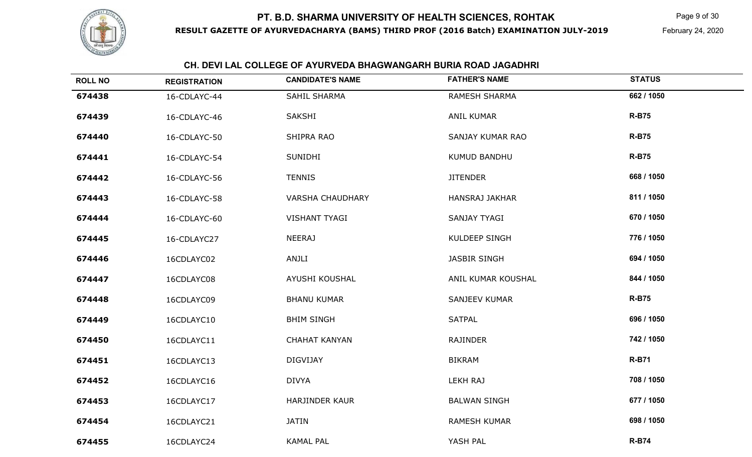

#### **RESULT GAZETTE OF AYURVEDACHARYA (BAMS) THIRD PROF (2016 Batch) EXAMINATION JULY-2019**

Page 9 of 30

February 24, 2020

## **CH. DEVI LAL COLLEGE OF AYURVEDA BHAGWANGARH BURIA ROAD JAGADHRI**

| <b>ROLL NO</b> | <b>REGISTRATION</b> | <b>CANDIDATE'S NAME</b> | <b>FATHER'S NAME</b>  | <b>STATUS</b> |
|----------------|---------------------|-------------------------|-----------------------|---------------|
| 674438         | 16-CDLAYC-44        | SAHIL SHARMA            | RAMESH SHARMA         | 662 / 1050    |
| 674439         | 16-CDLAYC-46        | <b>SAKSHI</b>           | <b>ANIL KUMAR</b>     | <b>R-B75</b>  |
| 674440         | 16-CDLAYC-50        | SHIPRA RAO              | SANJAY KUMAR RAO      | <b>R-B75</b>  |
| 674441         | 16-CDLAYC-54        | <b>SUNIDHI</b>          | KUMUD BANDHU          | <b>R-B75</b>  |
| 674442         | 16-CDLAYC-56        | <b>TENNIS</b>           | <b>JITENDER</b>       | 668 / 1050    |
| 674443         | 16-CDLAYC-58        | <b>VARSHA CHAUDHARY</b> | <b>HANSRAJ JAKHAR</b> | 811 / 1050    |
| 674444         | 16-CDLAYC-60        | <b>VISHANT TYAGI</b>    | SANJAY TYAGI          | 670 / 1050    |
| 674445         | 16-CDLAYC27         | <b>NEERAJ</b>           | KULDEEP SINGH         | 776 / 1050    |
| 674446         | 16CDLAYC02          | ANJLI                   | JASBIR SINGH          | 694 / 1050    |
| 674447         | 16CDLAYC08          | AYUSHI KOUSHAL          | ANIL KUMAR KOUSHAL    | 844 / 1050    |
| 674448         | 16CDLAYC09          | <b>BHANU KUMAR</b>      | <b>SANJEEV KUMAR</b>  | <b>R-B75</b>  |
| 674449         | 16CDLAYC10          | <b>BHIM SINGH</b>       | <b>SATPAL</b>         | 696 / 1050    |
| 674450         | 16CDLAYC11          | <b>CHAHAT KANYAN</b>    | <b>RAJINDER</b>       | 742 / 1050    |
| 674451         | 16CDLAYC13          | <b>DIGVIJAY</b>         | <b>BIKRAM</b>         | <b>R-B71</b>  |
| 674452         | 16CDLAYC16          | <b>DIVYA</b>            | <b>LEKH RAJ</b>       | 708 / 1050    |
| 674453         | 16CDLAYC17          | <b>HARJINDER KAUR</b>   | <b>BALWAN SINGH</b>   | 677 / 1050    |
| 674454         | 16CDLAYC21          | <b>JATIN</b>            | RAMESH KUMAR          | 698 / 1050    |
| 674455         | 16CDLAYC24          | <b>KAMAL PAL</b>        | YASH PAL              | <b>R-B74</b>  |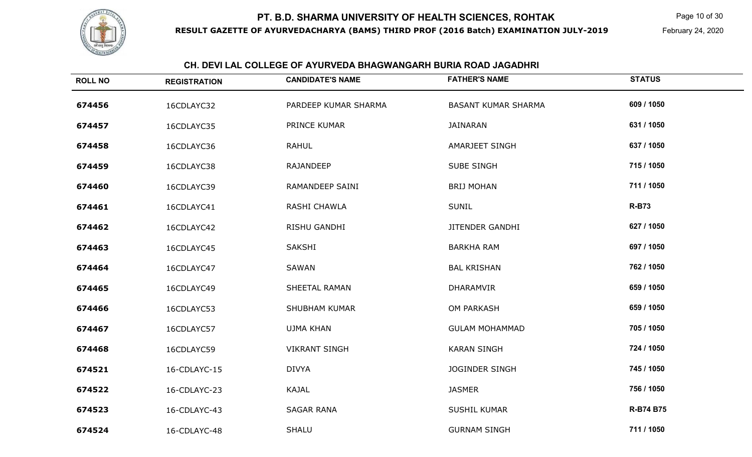

**ROLL NO**

#### **RESULT GAZETTE OF AYURVEDACHARYA (BAMS) THIRD PROF (2016 Batch) EXAMINATION JULY-2019**

Page 10 of 30

February 24, 2020

# **CH. DEVI LAL COLLEGE OF AYURVEDA BHAGWANGARH BURIA ROAD JAGADHRI REGISTRATIONCANDIDATE'S NAME FATHER'S NAME STATUS**

| 674456 | 16CDLAYC32   | PARDEEP KUMAR SHARMA | <b>BASANT KUMAR SHARMA</b> | 609 / 1050   |
|--------|--------------|----------------------|----------------------------|--------------|
| 674457 | 16CDLAYC35   | PRINCE KUMAR         | <b>JAINARAN</b>            | 631 / 1050   |
| 674458 | 16CDLAYC36   | <b>RAHUL</b>         | <b>AMARJEET SINGH</b>      | 637 / 1050   |
| 674459 | 16CDLAYC38   | <b>RAJANDEEP</b>     | SUBE SINGH                 | 715 / 1050   |
| 674460 | 16CDLAYC39   | RAMANDEEP SAINI      | <b>BRIJ MOHAN</b>          | 711 / 1050   |
| 674461 | 16CDLAYC41   | RASHI CHAWLA         | <b>SUNIL</b>               | <b>R-B73</b> |
| 674462 | 16CDLAYC42   | RISHU GANDHI         | <b>JITENDER GANDHI</b>     | 627 / 1050   |
| 674463 | 16CDLAYC45   | SAKSHI               | <b>BARKHA RAM</b>          | 697 / 1050   |
| 674464 | 16CDLAYC47   | SAWAN                | <b>BAL KRISHAN</b>         | 762 / 1050   |
| 674465 | 16CDLAYC49   | SHEETAL RAMAN        | <b>DHARAMVIR</b>           | 659 / 1050   |
| 674466 | 16CDLAYC53   | <b>SHUBHAM KUMAR</b> | <b>OM PARKASH</b>          | 659 / 1050   |
| 674467 | 16CDLAYC57   | <b>UJMA KHAN</b>     | <b>GULAM MOHAMMAD</b>      | 705 / 1050   |
| 674468 | 16CDLAYC59   | <b>VIKRANT SINGH</b> | <b>KARAN SINGH</b>         | 724 / 1050   |
| 674521 | 16-CDLAYC-15 | <b>DIVYA</b>         | <b>JOGINDER SINGH</b>      | 745 / 1050   |
| 674522 | 16-CDLAYC-23 | <b>KAJAL</b>         | <b>JASMER</b>              | 756 / 1050   |
| 674523 | 16-CDLAYC-43 | <b>SAGAR RANA</b>    | <b>SUSHIL KUMAR</b>        | R-B74 B75    |
| 674524 | 16-CDLAYC-48 | <b>SHALU</b>         | <b>GURNAM SINGH</b>        | 711 / 1050   |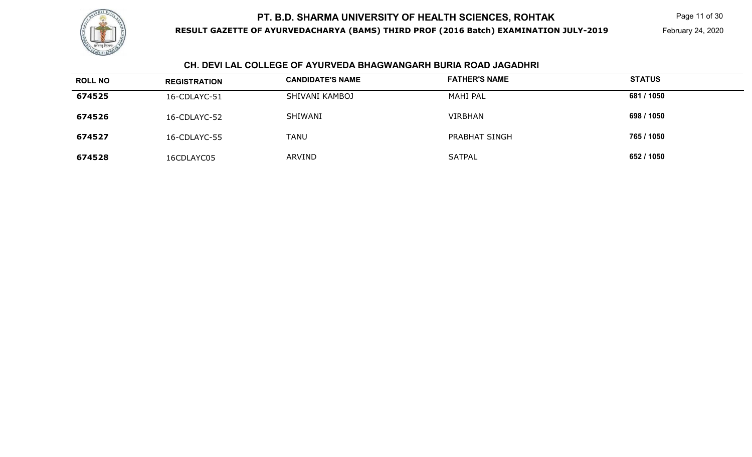

#### **RESULT GAZETTE OF AYURVEDACHARYA (BAMS) THIRD PROF (2016 Batch) EXAMINATION JULY-2019**

Page 11 of 30

February 24, 2020

## **CH. DEVI LAL COLLEGE OF AYURVEDA BHAGWANGARH BURIA ROAD JAGADHRI**

| <b>ROLL NO</b> | <b>REGISTRATION</b> | <b>CANDIDATE'S NAME</b> | <b>FATHER'S NAME</b> | <b>STATUS</b> |
|----------------|---------------------|-------------------------|----------------------|---------------|
| 674525         | 16-CDLAYC-51        | SHIVANI KAMBOJ          | MAHI PAL             | 681 / 1050    |
| 674526         | 16-CDLAYC-52        | SHIWANI                 | <b>VIRBHAN</b>       | 698 / 1050    |
| 674527         | 16-CDLAYC-55        | <b>TANU</b>             | PRABHAT SINGH        | 765 / 1050    |
| 674528         | 16CDLAYC05          | ARVIND                  | <b>SATPAL</b>        | 652 / 1050    |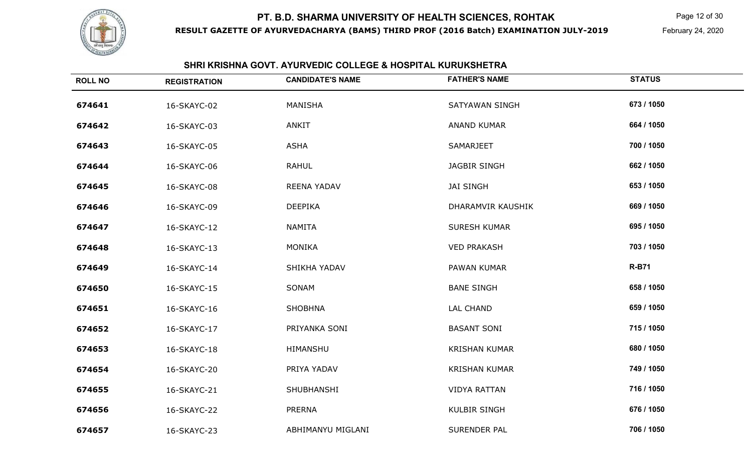

**RESULT GAZETTE OF AYURVEDACHARYA (BAMS) THIRD PROF (2016 Batch) EXAMINATION JULY-2019**

Page 12 of 30

February 24, 2020

## **SHRI KRISHNA GOVT. AYURVEDIC COLLEGE & HOSPITAL KURUKSHETRA**

| <b>ROLL NO</b> | <b>REGISTRATION</b> | <b>CANDIDATE'S NAME</b> | <b>FATHER'S NAME</b>  | <b>STATUS</b> |
|----------------|---------------------|-------------------------|-----------------------|---------------|
| 674641         | 16-SKAYC-02         | MANISHA                 | <b>SATYAWAN SINGH</b> | 673 / 1050    |
| 674642         | 16-SKAYC-03         | ANKIT                   | ANAND KUMAR           | 664 / 1050    |
| 674643         | 16-SKAYC-05         | <b>ASHA</b>             | SAMARJEET             | 700 / 1050    |
| 674644         | 16-SKAYC-06         | <b>RAHUL</b>            | <b>JAGBIR SINGH</b>   | 662 / 1050    |
| 674645         | 16-SKAYC-08         | REENA YADAV             | <b>JAI SINGH</b>      | 653 / 1050    |
| 674646         | 16-SKAYC-09         | <b>DEEPIKA</b>          | DHARAMVIR KAUSHIK     | 669 / 1050    |
| 674647         | 16-SKAYC-12         | <b>NAMITA</b>           | <b>SURESH KUMAR</b>   | 695 / 1050    |
| 674648         | 16-SKAYC-13         | <b>MONIKA</b>           | <b>VED PRAKASH</b>    | 703 / 1050    |
| 674649         | 16-SKAYC-14         | SHIKHA YADAV            | <b>PAWAN KUMAR</b>    | <b>R-B71</b>  |
| 674650         | 16-SKAYC-15         | SONAM                   | <b>BANE SINGH</b>     | 658 / 1050    |
| 674651         | 16-SKAYC-16         | <b>SHOBHNA</b>          | <b>LAL CHAND</b>      | 659 / 1050    |
| 674652         | 16-SKAYC-17         | PRIYANKA SONI           | <b>BASANT SONI</b>    | 715 / 1050    |
| 674653         | 16-SKAYC-18         | HIMANSHU                | <b>KRISHAN KUMAR</b>  | 680 / 1050    |
| 674654         | 16-SKAYC-20         | PRIYA YADAV             | <b>KRISHAN KUMAR</b>  | 749 / 1050    |
| 674655         | 16-SKAYC-21         | SHUBHANSHI              | <b>VIDYA RATTAN</b>   | 716 / 1050    |
| 674656         | 16-SKAYC-22         | PRERNA                  | <b>KULBIR SINGH</b>   | 676 / 1050    |
| 674657         | 16-SKAYC-23         | ABHIMANYU MIGLANI       | SURENDER PAL          | 706 / 1050    |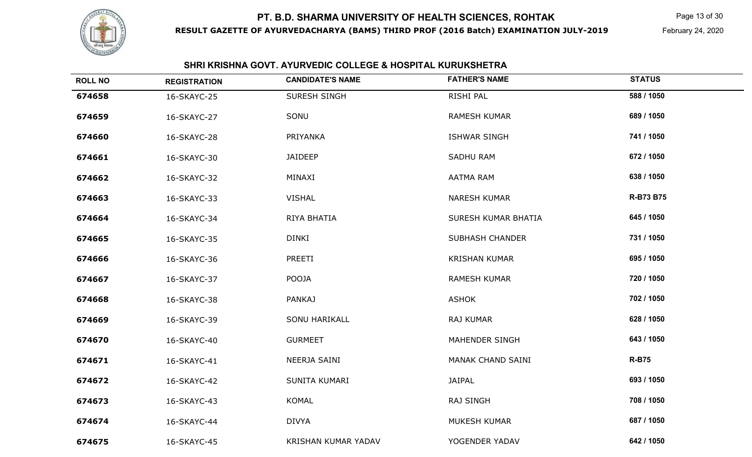

**RESULT GAZETTE OF AYURVEDACHARYA (BAMS) THIRD PROF (2016 Batch) EXAMINATION JULY-2019**

Page 13 of 30

February 24, 2020

## **SHRI KRISHNA GOVT. AYURVEDIC COLLEGE & HOSPITAL KURUKSHETRA**

| <b>ROLL NO</b> | <b>REGISTRATION</b> | <b>CANDIDATE'S NAME</b>    | <b>FATHER'S NAME</b>   | <b>STATUS</b>    |
|----------------|---------------------|----------------------------|------------------------|------------------|
| 674658         | 16-SKAYC-25         | SURESH SINGH               | RISHI PAL              | 588 / 1050       |
| 674659         | 16-SKAYC-27         | SONU                       | <b>RAMESH KUMAR</b>    | 689 / 1050       |
| 674660         | 16-SKAYC-28         | PRIYANKA                   | <b>ISHWAR SINGH</b>    | 741 / 1050       |
| 674661         | 16-SKAYC-30         | <b>JAIDEEP</b>             | <b>SADHU RAM</b>       | 672 / 1050       |
| 674662         | 16-SKAYC-32         | MINAXI                     | <b>AATMA RAM</b>       | 638 / 1050       |
| 674663         | 16-SKAYC-33         | <b>VISHAL</b>              | <b>NARESH KUMAR</b>    | <b>R-B73 B75</b> |
| 674664         | 16-SKAYC-34         | RIYA BHATIA                | SURESH KUMAR BHATIA    | 645 / 1050       |
| 674665         | 16-SKAYC-35         | <b>DINKI</b>               | <b>SUBHASH CHANDER</b> | 731 / 1050       |
| 674666         | 16-SKAYC-36         | PREETI                     | <b>KRISHAN KUMAR</b>   | 695 / 1050       |
| 674667         | 16-SKAYC-37         | POOJA                      | <b>RAMESH KUMAR</b>    | 720 / 1050       |
| 674668         | 16-SKAYC-38         | <b>PANKAJ</b>              | <b>ASHOK</b>           | 702 / 1050       |
| 674669         | 16-SKAYC-39         | <b>SONU HARIKALL</b>       | RAJ KUMAR              | 628 / 1050       |
| 674670         | 16-SKAYC-40         | <b>GURMEET</b>             | MAHENDER SINGH         | 643 / 1050       |
| 674671         | 16-SKAYC-41         | NEERJA SAINI               | MANAK CHAND SAINI      | <b>R-B75</b>     |
| 674672         | 16-SKAYC-42         | SUNITA KUMARI              | <b>JAIPAL</b>          | 693 / 1050       |
| 674673         | 16-SKAYC-43         | KOMAL                      | <b>RAJ SINGH</b>       | 708 / 1050       |
| 674674         | 16-SKAYC-44         | <b>DIVYA</b>               | MUKESH KUMAR           | 687 / 1050       |
| 674675         | 16-SKAYC-45         | <b>KRISHAN KUMAR YADAV</b> | YOGENDER YADAV         | 642 / 1050       |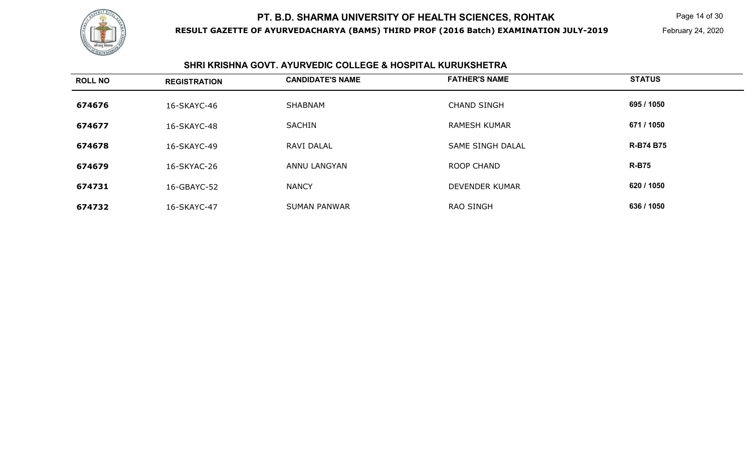

**RESULT GAZETTE OF AYURVEDACHARYA (BAMS) THIRD PROF (2016 Batch) EXAMINATION JULY-2019**

Page 14 of 30

February 24, 2020

## **SHRI KRISHNA GOVT. AYURVEDIC COLLEGE & HOSPITAL KURUKSHETRA**

| <b>ROLL NO</b> | <b>REGISTRATION</b> | <b>CANDIDATE'S NAME</b> | <b>FATHER'S NAME</b>    | <b>STATUS</b>    |
|----------------|---------------------|-------------------------|-------------------------|------------------|
| 674676         | 16-SKAYC-46         | <b>SHABNAM</b>          | <b>CHAND SINGH</b>      | 695 / 1050       |
| 674677         | 16-SKAYC-48         | <b>SACHIN</b>           | <b>RAMESH KUMAR</b>     | 671 / 1050       |
| 674678         | 16-SKAYC-49         | RAVI DALAL              | <b>SAME SINGH DALAL</b> | <b>R-B74 B75</b> |
| 674679         | 16-SKYAC-26         | ANNU LANGYAN            | ROOP CHAND              | <b>R-B75</b>     |
| 674731         | 16-GBAYC-52         | <b>NANCY</b>            | DEVENDER KUMAR          | 620 / 1050       |
| 674732         | 16-SKAYC-47         | <b>SUMAN PANWAR</b>     | RAO SINGH               | 636 / 1050       |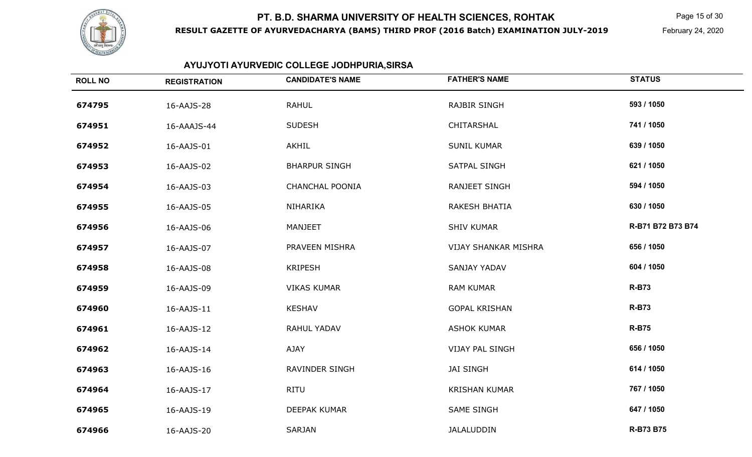

**RESULT GAZETTE OF AYURVEDACHARYA (BAMS) THIRD PROF (2016 Batch) EXAMINATION JULY-2019**

Page 15 of 30

February 24, 2020

# **AYUJYOTI AYURVEDIC COLLEGE JODHPURIA,SIRSA**

| <b>ROLL NO</b> | <b>REGISTRATION</b> | <b>CANDIDATE'S NAME</b> | <b>FATHER'S NAME</b>        | <b>STATUS</b>     |
|----------------|---------------------|-------------------------|-----------------------------|-------------------|
| 674795         | 16-AAJS-28          | <b>RAHUL</b>            | <b>RAJBIR SINGH</b>         | 593 / 1050        |
| 674951         | 16-AAAJS-44         | <b>SUDESH</b>           | CHITARSHAL                  | 741 / 1050        |
| 674952         | 16-AAJS-01          | AKHIL                   | <b>SUNIL KUMAR</b>          | 639 / 1050        |
| 674953         | 16-AAJS-02          | <b>BHARPUR SINGH</b>    | SATPAL SINGH                | 621 / 1050        |
| 674954         | 16-AAJS-03          | <b>CHANCHAL POONIA</b>  | RANJEET SINGH               | 594 / 1050        |
| 674955         | 16-AAJS-05          | NIHARIKA                | <b>RAKESH BHATIA</b>        | 630 / 1050        |
| 674956         | 16-AAJS-06          | <b>MANJEET</b>          | <b>SHIV KUMAR</b>           | R-B71 B72 B73 B74 |
| 674957         | 16-AAJS-07          | PRAVEEN MISHRA          | <b>VIJAY SHANKAR MISHRA</b> | 656 / 1050        |
| 674958         | 16-AAJS-08          | <b>KRIPESH</b>          | SANJAY YADAV                | 604 / 1050        |
| 674959         | 16-AAJS-09          | <b>VIKAS KUMAR</b>      | <b>RAM KUMAR</b>            | <b>R-B73</b>      |
| 674960         | 16-AAJS-11          | <b>KESHAV</b>           | <b>GOPAL KRISHAN</b>        | <b>R-B73</b>      |
| 674961         | 16-AAJS-12          | RAHUL YADAV             | <b>ASHOK KUMAR</b>          | <b>R-B75</b>      |
| 674962         | 16-AAJS-14          | AJAY                    | <b>VIJAY PAL SINGH</b>      | 656 / 1050        |
| 674963         | 16-AAJS-16          | <b>RAVINDER SINGH</b>   | <b>JAI SINGH</b>            | 614 / 1050        |
| 674964         | 16-AAJS-17          | RITU                    | <b>KRISHAN KUMAR</b>        | 767 / 1050        |
| 674965         | 16-AAJS-19          | DEEPAK KUMAR            | <b>SAME SINGH</b>           | 647 / 1050        |
| 674966         | 16-AAJS-20          | SARJAN                  | <b>JALALUDDIN</b>           | R-B73 B75         |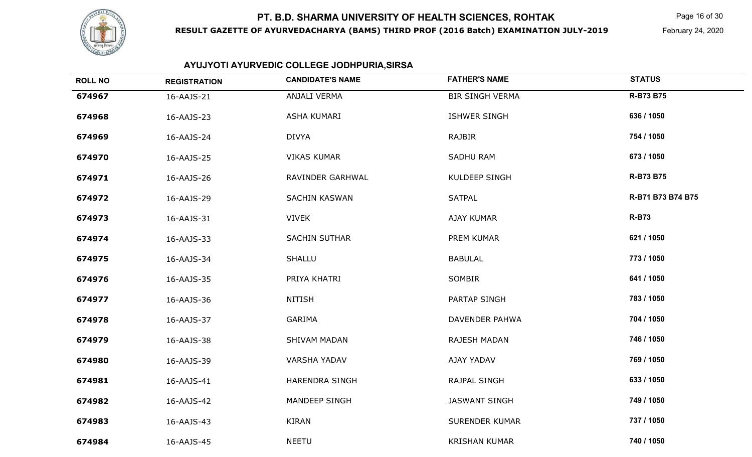

#### **RESULT GAZETTE OF AYURVEDACHARYA (BAMS) THIRD PROF (2016 Batch) EXAMINATION JULY-2019**

Page 16 of 30

February 24, 2020

# **AYUJYOTI AYURVEDIC COLLEGE JODHPURIA,SIRSA**

| <b>ROLL NO</b> | <b>REGISTRATION</b> | <b>CANDIDATE'S NAME</b> | <b>FATHER'S NAME</b>   | <b>STATUS</b>     |
|----------------|---------------------|-------------------------|------------------------|-------------------|
| 674967         | 16-AAJS-21          | ANJALI VERMA            | <b>BIR SINGH VERMA</b> | <b>R-B73 B75</b>  |
| 674968         | 16-AAJS-23          | ASHA KUMARI             | <b>ISHWER SINGH</b>    | 636 / 1050        |
| 674969         | 16-AAJS-24          | <b>DIVYA</b>            | <b>RAJBIR</b>          | 754 / 1050        |
| 674970         | 16-AAJS-25          | <b>VIKAS KUMAR</b>      | <b>SADHU RAM</b>       | 673 / 1050        |
| 674971         | 16-AAJS-26          | RAVINDER GARHWAL        | KULDEEP SINGH          | R-B73 B75         |
| 674972         | 16-AAJS-29          | <b>SACHIN KASWAN</b>    | <b>SATPAL</b>          | R-B71 B73 B74 B75 |
| 674973         | 16-AAJS-31          | <b>VIVEK</b>            | AJAY KUMAR             | <b>R-B73</b>      |
| 674974         | 16-AAJS-33          | <b>SACHIN SUTHAR</b>    | PREM KUMAR             | 621 / 1050        |
| 674975         | 16-AAJS-34          | <b>SHALLU</b>           | <b>BABULAL</b>         | 773 / 1050        |
| 674976         | 16-AAJS-35          | PRIYA KHATRI            | SOMBIR                 | 641 / 1050        |
| 674977         | 16-AAJS-36          | <b>NITISH</b>           | PARTAP SINGH           | 783 / 1050        |
| 674978         | 16-AAJS-37          | <b>GARIMA</b>           | DAVENDER PAHWA         | 704 / 1050        |
| 674979         | 16-AAJS-38          | <b>SHIVAM MADAN</b>     | <b>RAJESH MADAN</b>    | 746 / 1050        |
| 674980         | 16-AAJS-39          | <b>VARSHA YADAV</b>     | AJAY YADAV             | 769 / 1050        |
| 674981         | 16-AAJS-41          | <b>HARENDRA SINGH</b>   | RAJPAL SINGH           | 633 / 1050        |
| 674982         | 16-AAJS-42          | MANDEEP SINGH           | <b>JASWANT SINGH</b>   | 749 / 1050        |
| 674983         | 16-AAJS-43          | KIRAN                   | <b>SURENDER KUMAR</b>  | 737 / 1050        |
| 674984         | 16-AAJS-45          | <b>NEETU</b>            | <b>KRISHAN KUMAR</b>   | 740 / 1050        |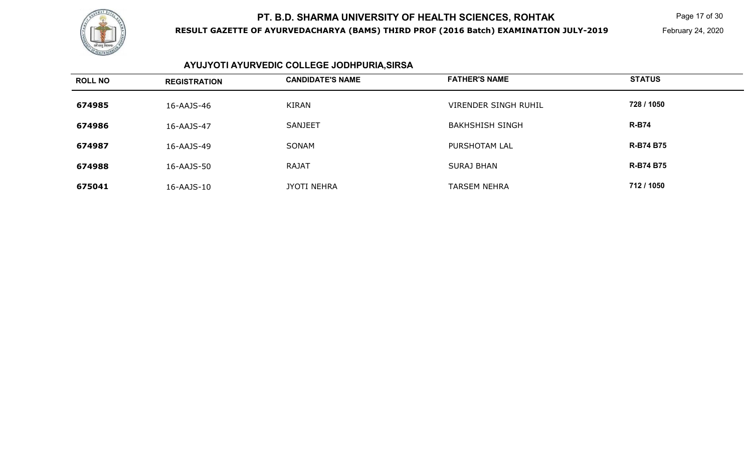

**RESULT GAZETTE OF AYURVEDACHARYA (BAMS) THIRD PROF (2016 Batch) EXAMINATION JULY-2019**

Page 17 of 30

February 24, 2020

# **AYUJYOTI AYURVEDIC COLLEGE JODHPURIA,SIRSA**

| <b>ROLL NO</b> | <b>REGISTRATION</b> | <b>CANDIDATE'S NAME</b> | <b>FATHER'S NAME</b>        | <b>STATUS</b>    |
|----------------|---------------------|-------------------------|-----------------------------|------------------|
| 674985         | 16-AAJS-46          | KIRAN                   | <b>VIRENDER SINGH RUHIL</b> | 728 / 1050       |
| 674986         | 16-AAJS-47          | <b>SANJEET</b>          | <b>BAKHSHISH SINGH</b>      | <b>R-B74</b>     |
| 674987         | 16-AAJS-49          | SONAM                   | PURSHOTAM LAL               | <b>R-B74 B75</b> |
| 674988         | 16-AAJS-50          | <b>RAJAT</b>            | <b>SURAJ BHAN</b>           | <b>R-B74 B75</b> |
| 675041         | 16-AAJS-10          | JYOTI NEHRA             | <b>TARSEM NEHRA</b>         | 712 / 1050       |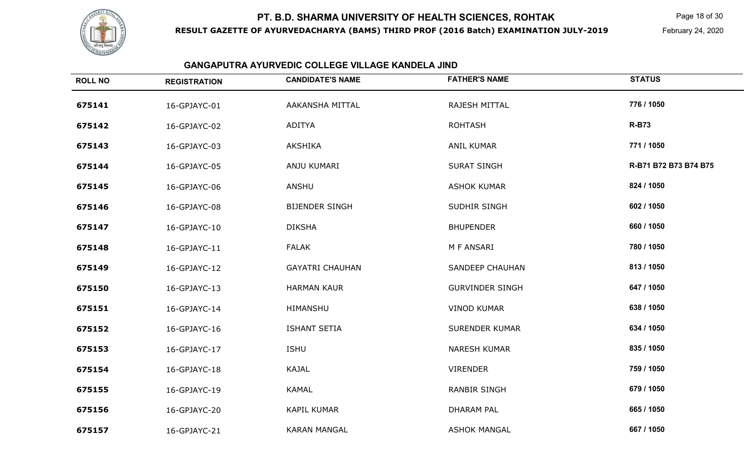

**RESULT GAZETTE OF AYURVEDACHARYA (BAMS) THIRD PROF (2016 Batch) EXAMINATION JULY-2019**

Page 18 of 30

February 24, 2020

# **GANGAPUTRA AYURVEDIC COLLEGE VILLAGE KANDELA JIND**

| <b>ROLL NO</b> | <b>REGISTRATION</b> | <b>CANDIDATE'S NAME</b> | <b>FATHER'S NAME</b>   | <b>STATUS</b>         |
|----------------|---------------------|-------------------------|------------------------|-----------------------|
| 675141         | 16-GPJAYC-01        | AAKANSHA MITTAL         | RAJESH MITTAL          | 776 / 1050            |
| 675142         | 16-GPJAYC-02        | ADITYA                  | <b>ROHTASH</b>         | <b>R-B73</b>          |
| 675143         | 16-GPJAYC-03        | <b>AKSHIKA</b>          | <b>ANIL KUMAR</b>      | 771 / 1050            |
| 675144         | 16-GPJAYC-05        | ANJU KUMARI             | <b>SURAT SINGH</b>     | R-B71 B72 B73 B74 B75 |
| 675145         | 16-GPJAYC-06        | ANSHU                   | <b>ASHOK KUMAR</b>     | 824 / 1050            |
| 675146         | 16-GPJAYC-08        | <b>BIJENDER SINGH</b>   | SUDHIR SINGH           | 602 / 1050            |
| 675147         | 16-GPJAYC-10        | <b>DIKSHA</b>           | <b>BHUPENDER</b>       | 660 / 1050            |
| 675148         | 16-GPJAYC-11        | <b>FALAK</b>            | M F ANSARI             | 780 / 1050            |
| 675149         | 16-GPJAYC-12        | <b>GAYATRI CHAUHAN</b>  | <b>SANDEEP CHAUHAN</b> | 813 / 1050            |
| 675150         | 16-GPJAYC-13        | <b>HARMAN KAUR</b>      | <b>GURVINDER SINGH</b> | 647 / 1050            |
| 675151         | 16-GPJAYC-14        | HIMANSHU                | <b>VINOD KUMAR</b>     | 638 / 1050            |
| 675152         | 16-GPJAYC-16        | <b>ISHANT SETIA</b>     | <b>SURENDER KUMAR</b>  | 634 / 1050            |
| 675153         | 16-GPJAYC-17        | <b>ISHU</b>             | <b>NARESH KUMAR</b>    | 835 / 1050            |
| 675154         | 16-GPJAYC-18        | <b>KAJAL</b>            | <b>VIRENDER</b>        | 759 / 1050            |
| 675155         | 16-GPJAYC-19        | KAMAL                   | <b>RANBIR SINGH</b>    | 679 / 1050            |
| 675156         | 16-GPJAYC-20        | <b>KAPIL KUMAR</b>      | <b>DHARAM PAL</b>      | 665 / 1050            |
| 675157         | 16-GPJAYC-21        | <b>KARAN MANGAL</b>     | <b>ASHOK MANGAL</b>    | 667 / 1050            |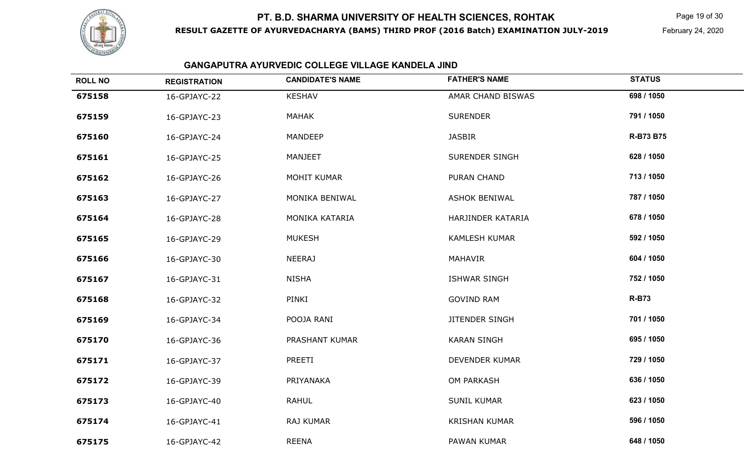

**RESULT GAZETTE OF AYURVEDACHARYA (BAMS) THIRD PROF (2016 Batch) EXAMINATION JULY-2019**

Page 19 of 30

February 24, 2020

# **GANGAPUTRA AYURVEDIC COLLEGE VILLAGE KANDELA JIND**

| <b>ROLL NO</b> | <b>REGISTRATION</b> | <b>CANDIDATE'S NAME</b> | <b>FATHER'S NAME</b>  | <b>STATUS</b> |
|----------------|---------------------|-------------------------|-----------------------|---------------|
| 675158         | 16-GPJAYC-22        | <b>KESHAV</b>           | AMAR CHAND BISWAS     | 698 / 1050    |
| 675159         | 16-GPJAYC-23        | <b>MAHAK</b>            | <b>SURENDER</b>       | 791 / 1050    |
| 675160         | 16-GPJAYC-24        | MANDEEP                 | <b>JASBIR</b>         | R-B73 B75     |
| 675161         | 16-GPJAYC-25        | <b>MANJEET</b>          | SURENDER SINGH        | 628 / 1050    |
| 675162         | 16-GPJAYC-26        | <b>MOHIT KUMAR</b>      | <b>PURAN CHAND</b>    | 713 / 1050    |
| 675163         | 16-GPJAYC-27        | MONIKA BENIWAL          | <b>ASHOK BENIWAL</b>  | 787 / 1050    |
| 675164         | 16-GPJAYC-28        | MONIKA KATARIA          | HARJINDER KATARIA     | 678 / 1050    |
| 675165         | 16-GPJAYC-29        | <b>MUKESH</b>           | <b>KAMLESH KUMAR</b>  | 592 / 1050    |
| 675166         | 16-GPJAYC-30        | <b>NEERAJ</b>           | MAHAVIR               | 604 / 1050    |
| 675167         | 16-GPJAYC-31        | <b>NISHA</b>            | <b>ISHWAR SINGH</b>   | 752 / 1050    |
| 675168         | 16-GPJAYC-32        | PINKI                   | <b>GOVIND RAM</b>     | <b>R-B73</b>  |
| 675169         | 16-GPJAYC-34        | POOJA RANI              | <b>JITENDER SINGH</b> | 701 / 1050    |
| 675170         | 16-GPJAYC-36        | PRASHANT KUMAR          | <b>KARAN SINGH</b>    | 695 / 1050    |
| 675171         | 16-GPJAYC-37        | PREETI                  | <b>DEVENDER KUMAR</b> | 729 / 1050    |
| 675172         | 16-GPJAYC-39        | PRIYANAKA               | OM PARKASH            | 636 / 1050    |
| 675173         | 16-GPJAYC-40        | <b>RAHUL</b>            | <b>SUNIL KUMAR</b>    | 623 / 1050    |
| 675174         | 16-GPJAYC-41        | RAJ KUMAR               | <b>KRISHAN KUMAR</b>  | 596 / 1050    |
| 675175         | 16-GPJAYC-42        | <b>REENA</b>            | PAWAN KUMAR           | 648 / 1050    |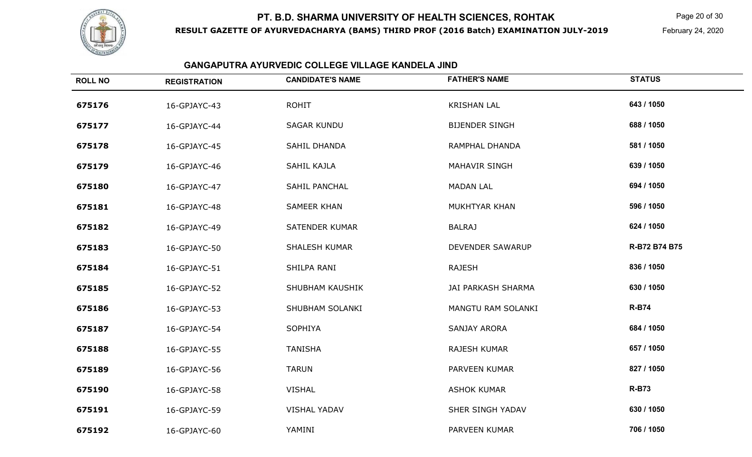

**RESULT GAZETTE OF AYURVEDACHARYA (BAMS) THIRD PROF (2016 Batch) EXAMINATION JULY-2019**

Page 20 of 30

February 24, 2020

## **GANGAPUTRA AYURVEDIC COLLEGE VILLAGE KANDELA JIND**

| <b>ROLL NO</b> | <b>REGISTRATION</b> | <b>CANDIDATE'S NAME</b> | <b>FATHER'S NAME</b>  | <b>STATUS</b> |
|----------------|---------------------|-------------------------|-----------------------|---------------|
| 675176         | 16-GPJAYC-43        | <b>ROHIT</b>            | <b>KRISHAN LAL</b>    | 643 / 1050    |
| 675177         | 16-GPJAYC-44        | <b>SAGAR KUNDU</b>      | <b>BIJENDER SINGH</b> | 688 / 1050    |
| 675178         | 16-GPJAYC-45        | SAHIL DHANDA            | RAMPHAL DHANDA        | 581 / 1050    |
| 675179         | 16-GPJAYC-46        | SAHIL KAJLA             | <b>MAHAVIR SINGH</b>  | 639 / 1050    |
| 675180         | 16-GPJAYC-47        | SAHIL PANCHAL           | <b>MADAN LAL</b>      | 694 / 1050    |
| 675181         | 16-GPJAYC-48        | <b>SAMEER KHAN</b>      | MUKHTYAR KHAN         | 596 / 1050    |
| 675182         | 16-GPJAYC-49        | <b>SATENDER KUMAR</b>   | <b>BALRAJ</b>         | 624 / 1050    |
| 675183         | 16-GPJAYC-50        | <b>SHALESH KUMAR</b>    | DEVENDER SAWARUP      | R-B72 B74 B75 |
| 675184         | 16-GPJAYC-51        | SHILPA RANI             | <b>RAJESH</b>         | 836 / 1050    |
| 675185         | 16-GPJAYC-52        | SHUBHAM KAUSHIK         | JAI PARKASH SHARMA    | 630 / 1050    |
| 675186         | 16-GPJAYC-53        | SHUBHAM SOLANKI         | MANGTU RAM SOLANKI    | <b>R-B74</b>  |
| 675187         | 16-GPJAYC-54        | SOPHIYA                 | <b>SANJAY ARORA</b>   | 684 / 1050    |
| 675188         | 16-GPJAYC-55        | <b>TANISHA</b>          | <b>RAJESH KUMAR</b>   | 657 / 1050    |
| 675189         | 16-GPJAYC-56        | <b>TARUN</b>            | PARVEEN KUMAR         | 827 / 1050    |
| 675190         | 16-GPJAYC-58        | <b>VISHAL</b>           | <b>ASHOK KUMAR</b>    | <b>R-B73</b>  |
| 675191         | 16-GPJAYC-59        | <b>VISHAL YADAV</b>     | SHER SINGH YADAV      | 630 / 1050    |
| 675192         | 16-GPJAYC-60        | YAMINI                  | PARVEEN KUMAR         | 706 / 1050    |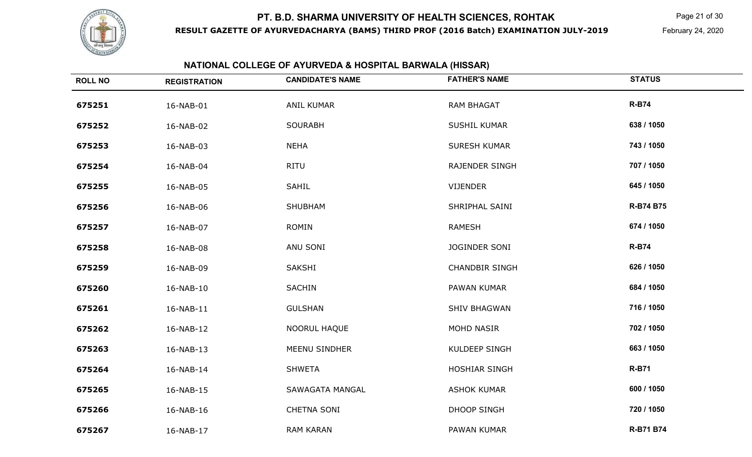

**RESULT GAZETTE OF AYURVEDACHARYA (BAMS) THIRD PROF (2016 Batch) EXAMINATION JULY-2019**

Page 21 of 30

February 24, 2020

| NATIONAL COLLEGE OF AYURVEDA & HOSPITAL BARWALA (HISSAR) |                     |                         |                       |               |  |
|----------------------------------------------------------|---------------------|-------------------------|-----------------------|---------------|--|
| <b>ROLL NO</b>                                           | <b>REGISTRATION</b> | <b>CANDIDATE'S NAME</b> | <b>FATHER'S NAME</b>  | <b>STATUS</b> |  |
| 675251                                                   | 16-NAB-01           | ANIL KUMAR              | <b>RAM BHAGAT</b>     | <b>R-B74</b>  |  |
| 675252                                                   | 16-NAB-02           | <b>SOURABH</b>          | <b>SUSHIL KUMAR</b>   | 638 / 1050    |  |
| 675253                                                   | 16-NAB-03           | <b>NEHA</b>             | <b>SURESH KUMAR</b>   | 743 / 1050    |  |
| 675254                                                   | 16-NAB-04           | <b>RITU</b>             | RAJENDER SINGH        | 707 / 1050    |  |
| 675255                                                   | 16-NAB-05           | SAHIL                   | <b>VIJENDER</b>       | 645 / 1050    |  |
| 675256                                                   | 16-NAB-06           | <b>SHUBHAM</b>          | SHRIPHAL SAINI        | R-B74 B75     |  |
| 675257                                                   | 16-NAB-07           | <b>ROMIN</b>            | <b>RAMESH</b>         | 674 / 1050    |  |
| 675258                                                   | 16-NAB-08           | ANU SONI                | JOGINDER SONI         | <b>R-B74</b>  |  |
| 675259                                                   | 16-NAB-09           | SAKSHI                  | <b>CHANDBIR SINGH</b> | 626 / 1050    |  |
| 675260                                                   | 16-NAB-10           | <b>SACHIN</b>           | PAWAN KUMAR           | 684 / 1050    |  |
| 675261                                                   | 16-NAB-11           | <b>GULSHAN</b>          | <b>SHIV BHAGWAN</b>   | 716 / 1050    |  |
| 675262                                                   | 16-NAB-12           | NOORUL HAQUE            | MOHD NASIR            | 702 / 1050    |  |
| 675263                                                   | 16-NAB-13           | MEENU SINDHER           | <b>KULDEEP SINGH</b>  | 663 / 1050    |  |
| 675264                                                   | 16-NAB-14           | <b>SHWETA</b>           | HOSHIAR SINGH         | <b>R-B71</b>  |  |
| 675265                                                   | 16-NAB-15           | SAWAGATA MANGAL         | <b>ASHOK KUMAR</b>    | 600 / 1050    |  |
| 675266                                                   | 16-NAB-16           | <b>CHETNA SONI</b>      | <b>DHOOP SINGH</b>    | 720 / 1050    |  |
| 675267                                                   | 16-NAB-17           | <b>RAM KARAN</b>        | PAWAN KUMAR           | R-B71 B74     |  |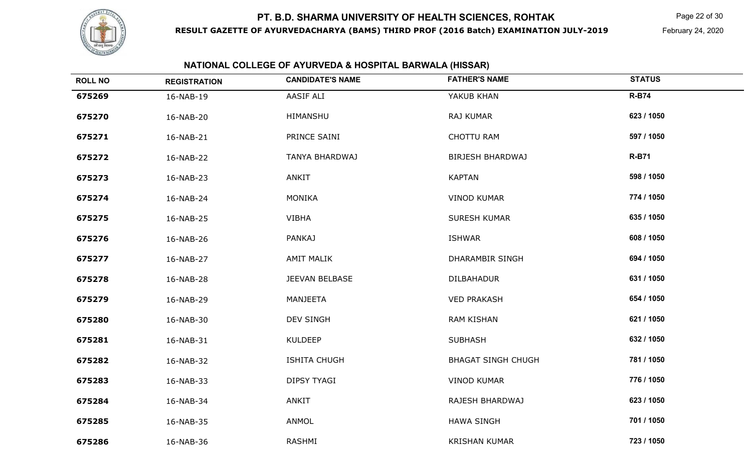

**RESULT GAZETTE OF AYURVEDACHARYA (BAMS) THIRD PROF (2016 Batch) EXAMINATION JULY-2019**

Page 22 of 30

February 24, 2020

## **NATIONAL COLLEGE OF AYURVEDA & HOSPITAL BARWALA (HISSAR)**

| <b>ROLL NO</b> | <b>REGISTRATION</b> | <b>CANDIDATE'S NAME</b> | <b>FATHER'S NAME</b>      | <b>STATUS</b> |
|----------------|---------------------|-------------------------|---------------------------|---------------|
| 675269         | 16-NAB-19           | AASIF ALI               | YAKUB KHAN                | <b>R-B74</b>  |
| 675270         | 16-NAB-20           | HIMANSHU                | RAJ KUMAR                 | 623 / 1050    |
| 675271         | 16-NAB-21           | PRINCE SAINI            | CHOTTU RAM                | 597 / 1050    |
| 675272         | 16-NAB-22           | TANYA BHARDWAJ          | <b>BIRJESH BHARDWAJ</b>   | <b>R-B71</b>  |
| 675273         | 16-NAB-23           | ANKIT                   | <b>KAPTAN</b>             | 598 / 1050    |
| 675274         | 16-NAB-24           | <b>MONIKA</b>           | <b>VINOD KUMAR</b>        | 774 / 1050    |
| 675275         | 16-NAB-25           | <b>VIBHA</b>            | SURESH KUMAR              | 635 / 1050    |
| 675276         | 16-NAB-26           | <b>PANKAJ</b>           | <b>ISHWAR</b>             | 608 / 1050    |
| 675277         | 16-NAB-27           | <b>AMIT MALIK</b>       | <b>DHARAMBIR SINGH</b>    | 694 / 1050    |
| 675278         | 16-NAB-28           | JEEVAN BELBASE          | <b>DILBAHADUR</b>         | 631 / 1050    |
| 675279         | 16-NAB-29           | <b>MANJEETA</b>         | <b>VED PRAKASH</b>        | 654 / 1050    |
| 675280         | 16-NAB-30           | <b>DEV SINGH</b>        | <b>RAM KISHAN</b>         | 621 / 1050    |
| 675281         | 16-NAB-31           | <b>KULDEEP</b>          | <b>SUBHASH</b>            | 632 / 1050    |
| 675282         | 16-NAB-32           | <b>ISHITA CHUGH</b>     | <b>BHAGAT SINGH CHUGH</b> | 781 / 1050    |
| 675283         | 16-NAB-33           | <b>DIPSY TYAGI</b>      | <b>VINOD KUMAR</b>        | 776 / 1050    |
| 675284         | 16-NAB-34           | <b>ANKIT</b>            | RAJESH BHARDWAJ           | 623 / 1050    |
| 675285         | 16-NAB-35           | ANMOL                   | <b>HAWA SINGH</b>         | 701 / 1050    |
| 675286         | 16-NAB-36           | RASHMI                  | <b>KRISHAN KUMAR</b>      | 723 / 1050    |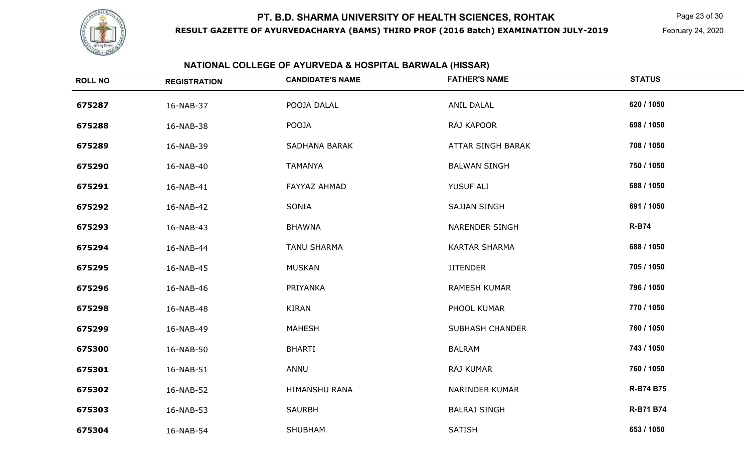

**RESULT GAZETTE OF AYURVEDACHARYA (BAMS) THIRD PROF (2016 Batch) EXAMINATION JULY-2019**

Page 23 of 30

February 24, 2020

|                | NATIONAL COLLEGE OF AYURVEDA & HOSPITAL BARWALA (HISSAR) |                         |                        |               |  |  |
|----------------|----------------------------------------------------------|-------------------------|------------------------|---------------|--|--|
| <b>ROLL NO</b> | <b>REGISTRATION</b>                                      | <b>CANDIDATE'S NAME</b> | <b>FATHER'S NAME</b>   | <b>STATUS</b> |  |  |
| 675287         | 16-NAB-37                                                | POOJA DALAL             | ANIL DALAL             | 620 / 1050    |  |  |
| 675288         | 16-NAB-38                                                | POOJA                   | RAJ KAPOOR             | 698 / 1050    |  |  |
| 675289         | 16-NAB-39                                                | SADHANA BARAK           | ATTAR SINGH BARAK      | 708 / 1050    |  |  |
| 675290         | 16-NAB-40                                                | TAMANYA                 | <b>BALWAN SINGH</b>    | 750 / 1050    |  |  |
| 675291         | 16-NAB-41                                                | FAYYAZ AHMAD            | YUSUF ALI              | 688 / 1050    |  |  |
| 675292         | 16-NAB-42                                                | SONIA                   | <b>SAJJAN SINGH</b>    | 691 / 1050    |  |  |
| 675293         | 16-NAB-43                                                | <b>BHAWNA</b>           | <b>NARENDER SINGH</b>  | <b>R-B74</b>  |  |  |
| 675294         | 16-NAB-44                                                | <b>TANU SHARMA</b>      | <b>KARTAR SHARMA</b>   | 688 / 1050    |  |  |
| 675295         | 16-NAB-45                                                | MUSKAN                  | <b>JITENDER</b>        | 705 / 1050    |  |  |
| 675296         | 16-NAB-46                                                | PRIYANKA                | RAMESH KUMAR           | 796 / 1050    |  |  |
| 675298         | 16-NAB-48                                                | KIRAN                   | PHOOL KUMAR            | 770 / 1050    |  |  |
| 675299         | 16-NAB-49                                                | MAHESH                  | <b>SUBHASH CHANDER</b> | 760 / 1050    |  |  |
| 675300         | 16-NAB-50                                                | <b>BHARTI</b>           | <b>BALRAM</b>          | 743 / 1050    |  |  |
| 675301         | 16-NAB-51                                                | ANNU                    | RAJ KUMAR              | 760 / 1050    |  |  |
| 675302         | 16-NAB-52                                                | HIMANSHU RANA           | NARINDER KUMAR         | R-B74 B75     |  |  |
| 675303         | 16-NAB-53                                                | <b>SAURBH</b>           | <b>BALRAJ SINGH</b>    | R-B71 B74     |  |  |
| 675304         | 16-NAB-54                                                | SHUBHAM                 | <b>SATISH</b>          | 653 / 1050    |  |  |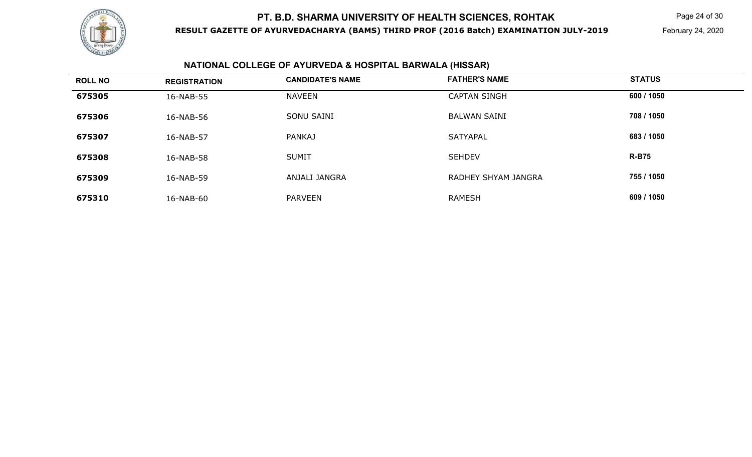

**RESULT GAZETTE OF AYURVEDACHARYA (BAMS) THIRD PROF (2016 Batch) EXAMINATION JULY-2019**

Page 24 of 30

February 24, 2020

# **NATIONAL COLLEGE OF AYURVEDA & HOSPITAL BARWALA (HISSAR)**

| <b>ROLL NO</b> | <b>REGISTRATION</b> | <b>CANDIDATE'S NAME</b> | <b>FATHER'S NAME</b> | <b>STATUS</b> |
|----------------|---------------------|-------------------------|----------------------|---------------|
| 675305         | 16-NAB-55           | <b>NAVEEN</b>           | <b>CAPTAN SINGH</b>  | 600 / 1050    |
| 675306         | 16-NAB-56           | SONU SAINI              | <b>BALWAN SAINI</b>  | 708 / 1050    |
| 675307         | 16-NAB-57           | <b>PANKAJ</b>           | <b>SATYAPAL</b>      | 683 / 1050    |
| 675308         | 16-NAB-58           | <b>SUMIT</b>            | <b>SEHDEV</b>        | <b>R-B75</b>  |
| 675309         | 16-NAB-59           | ANJALI JANGRA           | RADHEY SHYAM JANGRA  | 755 / 1050    |
| 675310         | 16-NAB-60           | <b>PARVEEN</b>          | <b>RAMESH</b>        | 609 / 1050    |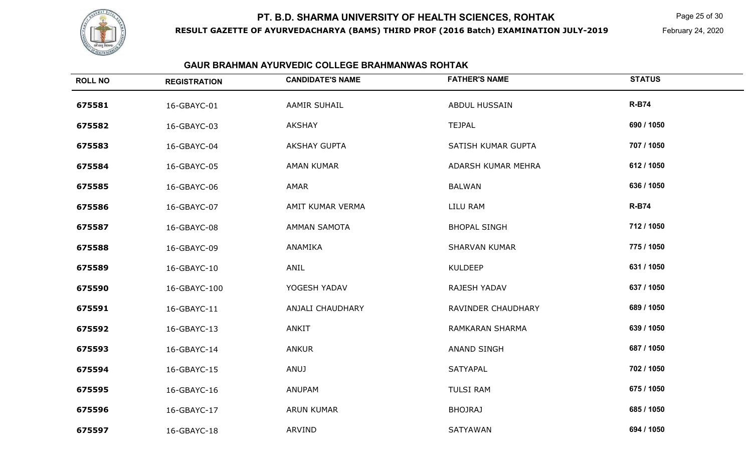

**RESULT GAZETTE OF AYURVEDACHARYA (BAMS) THIRD PROF (2016 Batch) EXAMINATION JULY-2019**

Page 25 of 30

February 24, 2020

| <b>ROLL NO</b> | <b>REGISTRATION</b> | <b>CANDIDATE'S NAME</b> | <b>FATHER'S NAME</b> | <b>STATUS</b> |
|----------------|---------------------|-------------------------|----------------------|---------------|
| 675581         | 16-GBAYC-01         | <b>AAMIR SUHAIL</b>     | <b>ABDUL HUSSAIN</b> | <b>R-B74</b>  |
| 675582         | 16-GBAYC-03         | <b>AKSHAY</b>           | <b>TEJPAL</b>        | 690 / 1050    |
| 675583         | 16-GBAYC-04         | <b>AKSHAY GUPTA</b>     | SATISH KUMAR GUPTA   | 707 / 1050    |
| 675584         | 16-GBAYC-05         | <b>AMAN KUMAR</b>       | ADARSH KUMAR MEHRA   | 612 / 1050    |
| 675585         | 16-GBAYC-06         | AMAR                    | <b>BALWAN</b>        | 636 / 1050    |
| 675586         | 16-GBAYC-07         | AMIT KUMAR VERMA        | <b>LILU RAM</b>      | <b>R-B74</b>  |
| 675587         | 16-GBAYC-08         | <b>AMMAN SAMOTA</b>     | <b>BHOPAL SINGH</b>  | 712 / 1050    |
| 675588         | 16-GBAYC-09         | ANAMIKA                 | <b>SHARVAN KUMAR</b> | 775 / 1050    |
| 675589         | 16-GBAYC-10         | ANIL                    | <b>KULDEEP</b>       | 631 / 1050    |
| 675590         | 16-GBAYC-100        | YOGESH YADAV            | RAJESH YADAV         | 637 / 1050    |
| 675591         | 16-GBAYC-11         | <b>ANJALI CHAUDHARY</b> | RAVINDER CHAUDHARY   | 689 / 1050    |
| 675592         | 16-GBAYC-13         | ANKIT                   | RAMKARAN SHARMA      | 639 / 1050    |
| 675593         | 16-GBAYC-14         | <b>ANKUR</b>            | <b>ANAND SINGH</b>   | 687 / 1050    |
| 675594         | 16-GBAYC-15         | <b>ANUJ</b>             | SATYAPAL             | 702 / 1050    |
| 675595         | 16-GBAYC-16         | ANUPAM                  | <b>TULSI RAM</b>     | 675 / 1050    |
| 675596         | 16-GBAYC-17         | <b>ARUN KUMAR</b>       | <b>BHOJRAJ</b>       | 685 / 1050    |
| 675597         | 16-GBAYC-18         | ARVIND                  | SATYAWAN             | 694 / 1050    |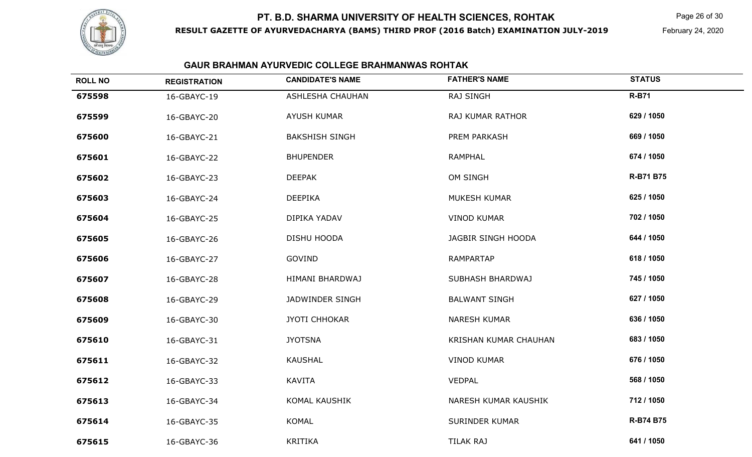## **RESULT GAZETTE OF AYURVEDACHARYA (BAMS) THIRD PROF (2016 Batch) EXAMINATION JULY-2019PT. B.D. SHARMA UNIVERSITY OF HEALTH SCIENCES, ROHTAK**

Page 26 of 30

| <b>ROLL NO</b> | <b>REGISTRATION</b> | <b>CANDIDATE'S NAME</b> | <b>FATHER'S NAME</b>  | <b>STATUS</b>    |
|----------------|---------------------|-------------------------|-----------------------|------------------|
| 675598         | 16-GBAYC-19         | <b>ASHLESHA CHAUHAN</b> | RAJ SINGH             | <b>R-B71</b>     |
| 675599         | 16-GBAYC-20         | AYUSH KUMAR             | RAJ KUMAR RATHOR      | 629 / 1050       |
| 675600         | 16-GBAYC-21         | <b>BAKSHISH SINGH</b>   | PREM PARKASH          | 669 / 1050       |
| 675601         | 16-GBAYC-22         | <b>BHUPENDER</b>        | <b>RAMPHAL</b>        | 674 / 1050       |
| 675602         | 16-GBAYC-23         | <b>DEEPAK</b>           | OM SINGH              | <b>R-B71 B75</b> |
| 675603         | 16-GBAYC-24         | <b>DEEPIKA</b>          | MUKESH KUMAR          | 625 / 1050       |
| 675604         | 16-GBAYC-25         | DIPIKA YADAV            | <b>VINOD KUMAR</b>    | 702 / 1050       |
| 675605         | 16-GBAYC-26         | DISHU HOODA             | JAGBIR SINGH HOODA    | 644 / 1050       |
| 675606         | 16-GBAYC-27         | GOVIND                  | <b>RAMPARTAP</b>      | 618 / 1050       |
| 675607         | 16-GBAYC-28         | HIMANI BHARDWAJ         | SUBHASH BHARDWAJ      | 745 / 1050       |
| 675608         | 16-GBAYC-29         | JADWINDER SINGH         | <b>BALWANT SINGH</b>  | 627 / 1050       |
| 675609         | 16-GBAYC-30         | JYOTI CHHOKAR           | <b>NARESH KUMAR</b>   | 636 / 1050       |
| 675610         | 16-GBAYC-31         | <b>JYOTSNA</b>          | KRISHAN KUMAR CHAUHAN | 683 / 1050       |
| 675611         | 16-GBAYC-32         | <b>KAUSHAL</b>          | <b>VINOD KUMAR</b>    | 676 / 1050       |
| 675612         | 16-GBAYC-33         | KAVITA                  | VEDPAL                | 568 / 1050       |
| 675613         | 16-GBAYC-34         | KOMAL KAUSHIK           | NARESH KUMAR KAUSHIK  | 712 / 1050       |
| 675614         | 16-GBAYC-35         | KOMAL                   | <b>SURINDER KUMAR</b> | <b>R-B74 B75</b> |
| 675615         | 16-GBAYC-36         | <b>KRITIKA</b>          | <b>TILAK RAJ</b>      | 641 / 1050       |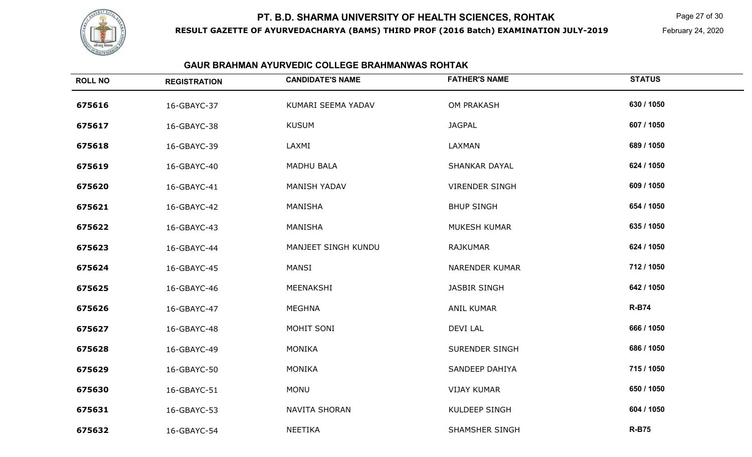

**RESULT GAZETTE OF AYURVEDACHARYA (BAMS) THIRD PROF (2016 Batch) EXAMINATION JULY-2019**

Page 27 of 30

February 24, 2020

| <b>ROLL NO</b> | <b>REGISTRATION</b> | <b>CANDIDATE'S NAME</b> | <b>FATHER'S NAME</b>  | <b>STATUS</b> |
|----------------|---------------------|-------------------------|-----------------------|---------------|
| 675616         | 16-GBAYC-37         | KUMARI SEEMA YADAV      | <b>OM PRAKASH</b>     | 630 / 1050    |
| 675617         | 16-GBAYC-38         | <b>KUSUM</b>            | <b>JAGPAL</b>         | 607 / 1050    |
| 675618         | 16-GBAYC-39         | LAXMI                   | LAXMAN                | 689 / 1050    |
| 675619         | 16-GBAYC-40         | <b>MADHU BALA</b>       | <b>SHANKAR DAYAL</b>  | 624 / 1050    |
| 675620         | 16-GBAYC-41         | <b>MANISH YADAV</b>     | <b>VIRENDER SINGH</b> | 609 / 1050    |
| 675621         | 16-GBAYC-42         | MANISHA                 | <b>BHUP SINGH</b>     | 654 / 1050    |
| 675622         | 16-GBAYC-43         | MANISHA                 | MUKESH KUMAR          | 635 / 1050    |
| 675623         | 16-GBAYC-44         | MANJEET SINGH KUNDU     | <b>RAJKUMAR</b>       | 624 / 1050    |
| 675624         | 16-GBAYC-45         | MANSI                   | <b>NARENDER KUMAR</b> | 712 / 1050    |
| 675625         | 16-GBAYC-46         | MEENAKSHI               | <b>JASBIR SINGH</b>   | 642 / 1050    |
| 675626         | 16-GBAYC-47         | MEGHNA                  | <b>ANIL KUMAR</b>     | <b>R-B74</b>  |
| 675627         | 16-GBAYC-48         | MOHIT SONI              | <b>DEVI LAL</b>       | 666 / 1050    |
| 675628         | 16-GBAYC-49         | <b>MONIKA</b>           | <b>SURENDER SINGH</b> | 686 / 1050    |
| 675629         | 16-GBAYC-50         | <b>MONIKA</b>           | <b>SANDEEP DAHIYA</b> | 715 / 1050    |
| 675630         | 16-GBAYC-51         | <b>MONU</b>             | <b>VIJAY KUMAR</b>    | 650 / 1050    |
| 675631         | 16-GBAYC-53         | <b>NAVITA SHORAN</b>    | KULDEEP SINGH         | 604 / 1050    |
| 675632         | 16-GBAYC-54         | NEETIKA                 | <b>SHAMSHER SINGH</b> | <b>R-B75</b>  |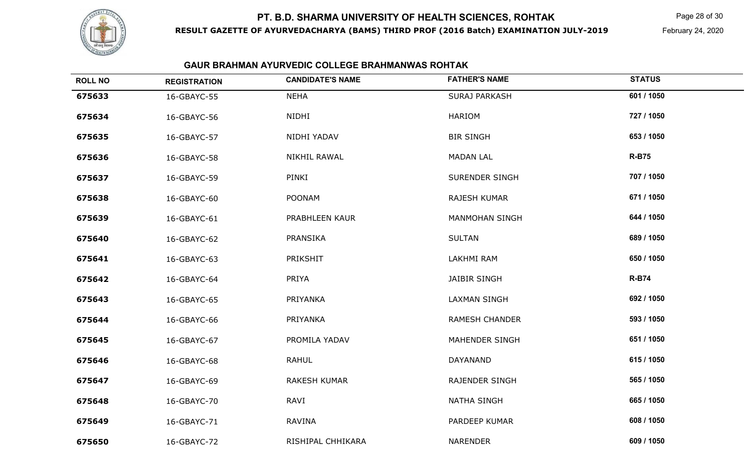

**RESULT GAZETTE OF AYURVEDACHARYA (BAMS) THIRD PROF (2016 Batch) EXAMINATION JULY-2019**

Page 28 of 30

February 24, 2020

| <b>ROLL NO</b> | <b>REGISTRATION</b> | <b>CANDIDATE'S NAME</b> | <b>FATHER'S NAME</b>  | <b>STATUS</b> |
|----------------|---------------------|-------------------------|-----------------------|---------------|
| 675633         | 16-GBAYC-55         | <b>NEHA</b>             | <b>SURAJ PARKASH</b>  | 601 / 1050    |
| 675634         | 16-GBAYC-56         | NIDHI                   | <b>HARIOM</b>         | 727 / 1050    |
| 675635         | 16-GBAYC-57         | NIDHI YADAV             | <b>BIR SINGH</b>      | 653 / 1050    |
| 675636         | 16-GBAYC-58         | NIKHIL RAWAL            | <b>MADAN LAL</b>      | <b>R-B75</b>  |
| 675637         | 16-GBAYC-59         | PINKI                   | <b>SURENDER SINGH</b> | 707 / 1050    |
| 675638         | 16-GBAYC-60         | <b>POONAM</b>           | RAJESH KUMAR          | 671 / 1050    |
| 675639         | 16-GBAYC-61         | PRABHLEEN KAUR          | <b>MANMOHAN SINGH</b> | 644 / 1050    |
| 675640         | 16-GBAYC-62         | PRANSIKA                | <b>SULTAN</b>         | 689 / 1050    |
| 675641         | 16-GBAYC-63         | PRIKSHIT                | <b>LAKHMI RAM</b>     | 650 / 1050    |
| 675642         | 16-GBAYC-64         | PRIYA                   | <b>JAIBIR SINGH</b>   | <b>R-B74</b>  |
| 675643         | 16-GBAYC-65         | PRIYANKA                | <b>LAXMAN SINGH</b>   | 692 / 1050    |
| 675644         | 16-GBAYC-66         | PRIYANKA                | <b>RAMESH CHANDER</b> | 593 / 1050    |
| 675645         | 16-GBAYC-67         | PROMILA YADAV           | <b>MAHENDER SINGH</b> | 651 / 1050    |
| 675646         | 16-GBAYC-68         | <b>RAHUL</b>            | DAYANAND              | 615 / 1050    |
| 675647         | 16-GBAYC-69         | <b>RAKESH KUMAR</b>     | <b>RAJENDER SINGH</b> | 565 / 1050    |
| 675648         | 16-GBAYC-70         | RAVI                    | <b>NATHA SINGH</b>    | 665 / 1050    |
| 675649         | 16-GBAYC-71         | <b>RAVINA</b>           | PARDEEP KUMAR         | 608 / 1050    |
| 675650         | 16-GBAYC-72         | RISHIPAL CHHIKARA       | <b>NARENDER</b>       | 609 / 1050    |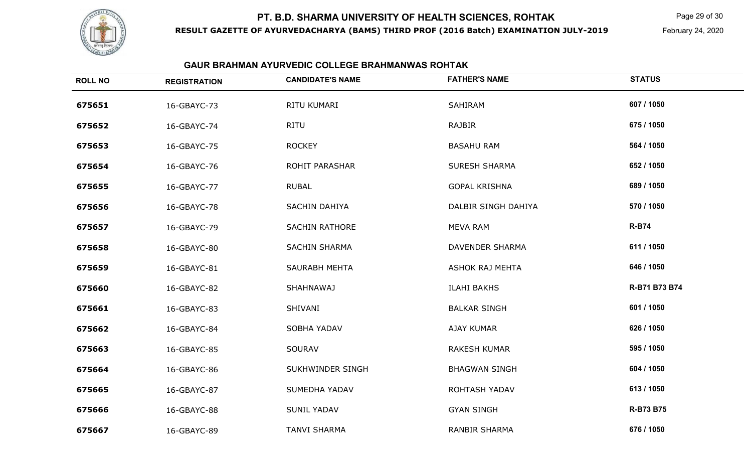

**RESULT GAZETTE OF AYURVEDACHARYA (BAMS) THIRD PROF (2016 Batch) EXAMINATION JULY-2019**

Page 29 of 30

February 24, 2020

| <b>ROLL NO</b> | <b>REGISTRATION</b> | <b>CANDIDATE'S NAME</b> | <b>FATHER'S NAME</b>   | <b>STATUS</b>    |
|----------------|---------------------|-------------------------|------------------------|------------------|
| 675651         | 16-GBAYC-73         | RITU KUMARI             | SAHIRAM                | 607 / 1050       |
| 675652         | 16-GBAYC-74         | <b>RITU</b>             | RAJBIR                 | 675 / 1050       |
| 675653         | 16-GBAYC-75         | <b>ROCKEY</b>           | <b>BASAHU RAM</b>      | 564 / 1050       |
| 675654         | 16-GBAYC-76         | <b>ROHIT PARASHAR</b>   | <b>SURESH SHARMA</b>   | 652 / 1050       |
| 675655         | 16-GBAYC-77         | <b>RUBAL</b>            | <b>GOPAL KRISHNA</b>   | 689 / 1050       |
| 675656         | 16-GBAYC-78         | SACHIN DAHIYA           | DALBIR SINGH DAHIYA    | 570 / 1050       |
| 675657         | 16-GBAYC-79         | <b>SACHIN RATHORE</b>   | <b>MEVA RAM</b>        | <b>R-B74</b>     |
| 675658         | 16-GBAYC-80         | <b>SACHIN SHARMA</b>    | DAVENDER SHARMA        | 611 / 1050       |
| 675659         | 16-GBAYC-81         | SAURABH MEHTA           | <b>ASHOK RAJ MEHTA</b> | 646 / 1050       |
| 675660         | 16-GBAYC-82         | SHAHNAWAJ               | <b>ILAHI BAKHS</b>     | R-B71 B73 B74    |
| 675661         | 16-GBAYC-83         | SHIVANI                 | <b>BALKAR SINGH</b>    | 601 / 1050       |
| 675662         | 16-GBAYC-84         | SOBHA YADAV             | <b>AJAY KUMAR</b>      | 626 / 1050       |
| 675663         | 16-GBAYC-85         | <b>SOURAV</b>           | <b>RAKESH KUMAR</b>    | 595 / 1050       |
| 675664         | 16-GBAYC-86         | SUKHWINDER SINGH        | <b>BHAGWAN SINGH</b>   | 604 / 1050       |
| 675665         | 16-GBAYC-87         | SUMEDHA YADAV           | ROHTASH YADAV          | 613 / 1050       |
| 675666         | 16-GBAYC-88         | <b>SUNIL YADAV</b>      | <b>GYAN SINGH</b>      | <b>R-B73 B75</b> |
| 675667         | 16-GBAYC-89         | <b>TANVI SHARMA</b>     | <b>RANBIR SHARMA</b>   | 676 / 1050       |